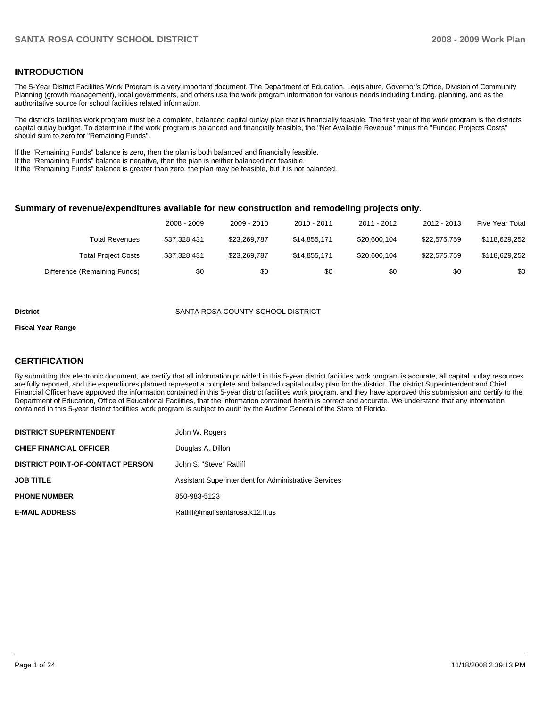### **INTRODUCTION**

The 5-Year District Facilities Work Program is a very important document. The Department of Education, Legislature, Governor's Office, Division of Community Planning (growth management), local governments, and others use the work program information for various needs including funding, planning, and as the authoritative source for school facilities related information.

The district's facilities work program must be a complete, balanced capital outlay plan that is financially feasible. The first year of the work program is the districts capital outlay budget. To determine if the work program is balanced and financially feasible, the "Net Available Revenue" minus the "Funded Projects Costs" should sum to zero for "Remaining Funds".

If the "Remaining Funds" balance is zero, then the plan is both balanced and financially feasible.

If the "Remaining Funds" balance is negative, then the plan is neither balanced nor feasible.

If the "Remaining Funds" balance is greater than zero, the plan may be feasible, but it is not balanced.

### **Summary of revenue/expenditures available for new construction and remodeling projects only.**

|                              | 2008 - 2009  | 2009 - 2010  | $2010 - 2011$ | 2011 - 2012  | 2012 - 2013  | Five Year Total |
|------------------------------|--------------|--------------|---------------|--------------|--------------|-----------------|
| Total Revenues               | \$37.328.431 | \$23.269.787 | \$14.855.171  | \$20,600.104 | \$22.575.759 | \$118,629,252   |
| <b>Total Project Costs</b>   | \$37.328.431 | \$23.269.787 | \$14.855.171  | \$20,600,104 | \$22.575.759 | \$118.629.252   |
| Difference (Remaining Funds) | \$0          | \$0          | \$0           | \$0          | \$0          | \$0             |

#### **District** SANTA ROSA COUNTY SCHOOL DISTRICT

### **Fiscal Year Range**

### **CERTIFICATION**

By submitting this electronic document, we certify that all information provided in this 5-year district facilities work program is accurate, all capital outlay resources are fully reported, and the expenditures planned represent a complete and balanced capital outlay plan for the district. The district Superintendent and Chief Financial Officer have approved the information contained in this 5-year district facilities work program, and they have approved this submission and certify to the Department of Education, Office of Educational Facilities, that the information contained herein is correct and accurate. We understand that any information contained in this 5-year district facilities work program is subject to audit by the Auditor General of the State of Florida.

| <b>DISTRICT SUPERINTENDENT</b>          | John W. Rogers                                       |
|-----------------------------------------|------------------------------------------------------|
| <b>CHIEF FINANCIAL OFFICER</b>          | Douglas A. Dillon                                    |
| <b>DISTRICT POINT-OF-CONTACT PERSON</b> | John S. "Steve" Ratliff                              |
| <b>JOB TITLE</b>                        | Assistant Superintendent for Administrative Services |
| <b>PHONE NUMBER</b>                     | 850-983-5123                                         |
| <b>E-MAIL ADDRESS</b>                   | Ratliff@mail.santarosa.k12.fl.us                     |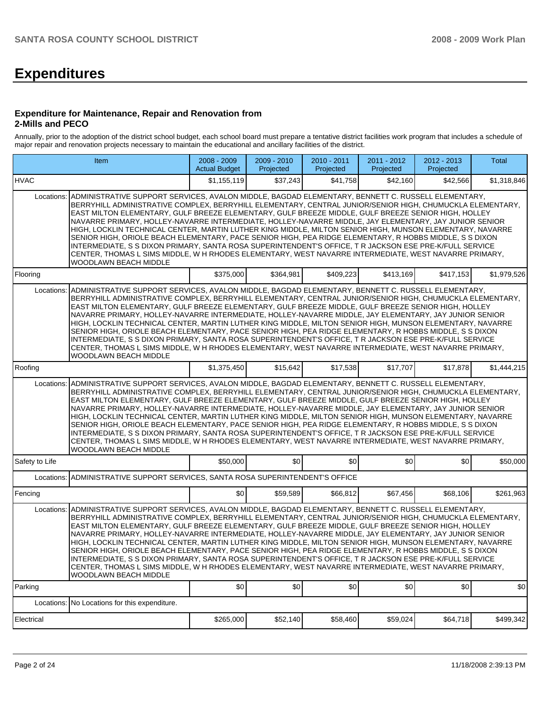# **Expenditures**

### **Expenditure for Maintenance, Repair and Renovation from 2-Mills and PECO**

Annually, prior to the adoption of the district school budget, each school board must prepare a tentative district facilities work program that includes a schedule of major repair and renovation projects necessary to maintain the educational and ancillary facilities of the district.

| Item                                                                                                                                                                                                                                                                                                                                                                                                                                                                                                                                                                                                                                                                                                                                                                                                                                                                                                               | 2008 - 2009<br><b>Actual Budget</b>                                                                                                                                                                                                                                                                                                                                                                                                                                                                                                                                                                                                                                                                                                                                                                                                                                                       | 2009 - 2010<br>Projected | 2010 - 2011<br>Projected | 2011 - 2012<br>Projected | 2012 - 2013<br>Projected | <b>Total</b> |  |  |  |  |
|--------------------------------------------------------------------------------------------------------------------------------------------------------------------------------------------------------------------------------------------------------------------------------------------------------------------------------------------------------------------------------------------------------------------------------------------------------------------------------------------------------------------------------------------------------------------------------------------------------------------------------------------------------------------------------------------------------------------------------------------------------------------------------------------------------------------------------------------------------------------------------------------------------------------|-------------------------------------------------------------------------------------------------------------------------------------------------------------------------------------------------------------------------------------------------------------------------------------------------------------------------------------------------------------------------------------------------------------------------------------------------------------------------------------------------------------------------------------------------------------------------------------------------------------------------------------------------------------------------------------------------------------------------------------------------------------------------------------------------------------------------------------------------------------------------------------------|--------------------------|--------------------------|--------------------------|--------------------------|--------------|--|--|--|--|
| <b>HVAC</b>                                                                                                                                                                                                                                                                                                                                                                                                                                                                                                                                                                                                                                                                                                                                                                                                                                                                                                        | \$1.155.119                                                                                                                                                                                                                                                                                                                                                                                                                                                                                                                                                                                                                                                                                                                                                                                                                                                                               | \$37,243                 | \$41,758                 | \$42,160                 | \$42,566                 | \$1,318,846  |  |  |  |  |
| ADMINISTRATIVE SUPPORT SERVICES, AVALON MIDDLE, BAGDAD ELEMENTARY, BENNETT C. RUSSELL ELEMENTARY,<br>Locations:<br>BERRYHILL ADMINISTRATIVE COMPLEX. BERRYHILL ELEMENTARY. CENTRAL JUNIOR/SENIOR HIGH. CHUMUCKLA ELEMENTARY.<br>EAST MILTON ELEMENTARY, GULF BREEZE ELEMENTARY, GULF BREEZE MIDDLE, GULF BREEZE SENIOR HIGH, HOLLEY<br>NAVARRE PRIMARY, HOLLEY-NAVARRE INTERMEDIATE, HOLLEY-NAVARRE MIDDLE, JAY ELEMENTARY, JAY JUNIOR SENIOR<br>HIGH, LOCKLIN TECHNICAL CENTER, MARTIN LUTHER KING MIDDLE, MILTON SENIOR HIGH, MUNSON ELEMENTARY, NAVARRE<br>SENIOR HIGH, ORIOLE BEACH ELEMENTARY, PACE SENIOR HIGH, PEA RIDGE ELEMENTARY, R HOBBS MIDDLE, S S DIXON<br>INTERMEDIATE, S S DIXON PRIMARY, SANTA ROSA SUPERINTENDENT'S OFFICE, T R JACKSON ESE PRE-K/FULL SERVICE<br>CENTER, THOMAS L SIMS MIDDLE, W H RHODES ELEMENTARY, WEST NAVARRE INTERMEDIATE, WEST NAVARRE PRIMARY,<br>WOODLAWN BEACH MIDDLE |                                                                                                                                                                                                                                                                                                                                                                                                                                                                                                                                                                                                                                                                                                                                                                                                                                                                                           |                          |                          |                          |                          |              |  |  |  |  |
| Flooring                                                                                                                                                                                                                                                                                                                                                                                                                                                                                                                                                                                                                                                                                                                                                                                                                                                                                                           | \$375,000                                                                                                                                                                                                                                                                                                                                                                                                                                                                                                                                                                                                                                                                                                                                                                                                                                                                                 | \$364,981                | \$409,223                | \$413,169                | \$417,153                | \$1,979,526  |  |  |  |  |
| ADMINISTRATIVE SUPPORT SERVICES, AVALON MIDDLE, BAGDAD ELEMENTARY, BENNETT C. RUSSELL ELEMENTARY,<br>Locations:<br>BERRYHILL ADMINISTRATIVE COMPLEX, BERRYHILL ELEMENTARY, CENTRAL JUNIOR/SENIOR HIGH, CHUMUCKLA ELEMENTARY,<br>EAST MILTON ELEMENTARY, GULF BREEZE ELEMENTARY, GULF BREEZE MIDDLE, GULF BREEZE SENIOR HIGH, HOLLEY<br>NAVARRE PRIMARY, HOLLEY-NAVARRE INTERMEDIATE, HOLLEY-NAVARRE MIDDLE, JAY ELEMENTARY, JAY JUNIOR SENIOR<br>HIGH, LOCKLIN TECHNICAL CENTER, MARTIN LUTHER KING MIDDLE, MILTON SENIOR HIGH, MUNSON ELEMENTARY, NAVARRE<br>SENIOR HIGH, ORIOLE BEACH ELEMENTARY, PACE SENIOR HIGH, PEA RIDGE ELEMENTARY, R HOBBS MIDDLE, S S DIXON<br>INTERMEDIATE, S S DIXON PRIMARY, SANTA ROSA SUPERINTENDENT'S OFFICE, T R JACKSON ESE PRE-K/FULL SERVICE<br>CENTER, THOMAS L SIMS MIDDLE, W H RHODES ELEMENTARY, WEST NAVARRE INTERMEDIATE, WEST NAVARRE PRIMARY,<br>WOODLAWN BEACH MIDDLE |                                                                                                                                                                                                                                                                                                                                                                                                                                                                                                                                                                                                                                                                                                                                                                                                                                                                                           |                          |                          |                          |                          |              |  |  |  |  |
| Roofing                                                                                                                                                                                                                                                                                                                                                                                                                                                                                                                                                                                                                                                                                                                                                                                                                                                                                                            | \$1,375,450                                                                                                                                                                                                                                                                                                                                                                                                                                                                                                                                                                                                                                                                                                                                                                                                                                                                               | \$15,642                 | \$17,538                 | \$17,707                 | \$17,878                 | \$1,444,215  |  |  |  |  |
| WOODLAWN BEACH MIDDLE                                                                                                                                                                                                                                                                                                                                                                                                                                                                                                                                                                                                                                                                                                                                                                                                                                                                                              | ADMINISTRATIVE SUPPORT SERVICES, AVALON MIDDLE, BAGDAD ELEMENTARY, BENNETT C. RUSSELL ELEMENTARY,<br>Locations:<br>BERRYHILL ADMINISTRATIVE COMPLEX, BERRYHILL ELEMENTARY, CENTRAL JUNIOR/SENIOR HIGH, CHUMUCKLA ELEMENTARY,<br>EAST MILTON ELEMENTARY, GULF BREEZE ELEMENTARY, GULF BREEZE MIDDLE, GULF BREEZE SENIOR HIGH, HOLLEY<br>NAVARRE PRIMARY, HOLLEY-NAVARRE INTERMEDIATE, HOLLEY-NAVARRE MIDDLE, JAY ELEMENTARY, JAY JUNIOR SENIOR<br>HIGH, LOCKLIN TECHNICAL CENTER, MARTIN LUTHER KING MIDDLE, MILTON SENIOR HIGH, MUNSON ELEMENTARY, NAVARRE<br>SENIOR HIGH, ORIOLE BEACH ELEMENTARY, PACE SENIOR HIGH, PEA RIDGE ELEMENTARY, R HOBBS MIDDLE, S S DIXON<br>INTERMEDIATE, S S DIXON PRIMARY, SANTA ROSA SUPERINTENDENT'S OFFICE, T R JACKSON ESE PRE-K/FULL SERVICE<br>CENTER, THOMAS L SIMS MIDDLE, W H RHODES ELEMENTARY, WEST NAVARRE INTERMEDIATE, WEST NAVARRE PRIMARY, |                          |                          |                          |                          |              |  |  |  |  |
| Safety to Life                                                                                                                                                                                                                                                                                                                                                                                                                                                                                                                                                                                                                                                                                                                                                                                                                                                                                                     | \$50,000                                                                                                                                                                                                                                                                                                                                                                                                                                                                                                                                                                                                                                                                                                                                                                                                                                                                                  | \$0                      | \$0                      | \$0                      | \$0                      | \$50,000     |  |  |  |  |
| ADMINISTRATIVE SUPPORT SERVICES, SANTA ROSA SUPERINTENDENT'S OFFICE<br>Locations:                                                                                                                                                                                                                                                                                                                                                                                                                                                                                                                                                                                                                                                                                                                                                                                                                                  |                                                                                                                                                                                                                                                                                                                                                                                                                                                                                                                                                                                                                                                                                                                                                                                                                                                                                           |                          |                          |                          |                          |              |  |  |  |  |
| Fencing                                                                                                                                                                                                                                                                                                                                                                                                                                                                                                                                                                                                                                                                                                                                                                                                                                                                                                            | \$0                                                                                                                                                                                                                                                                                                                                                                                                                                                                                                                                                                                                                                                                                                                                                                                                                                                                                       | \$59,589                 | \$66,812                 | \$67,456                 | \$68,106                 | \$261,963    |  |  |  |  |
| ADMINISTRATIVE SUPPORT SERVICES, AVALON MIDDLE, BAGDAD ELEMENTARY, BENNETT C. RUSSELL ELEMENTARY,<br>Locations:<br>BERRYHILL ADMINISTRATIVE COMPLEX, BERRYHILL ELEMENTARY, CENTRAL JUNIOR/SENIOR HIGH, CHUMUCKLA ELEMENTARY,<br>EAST MILTON ELEMENTARY, GULF BREEZE ELEMENTARY, GULF BREEZE MIDDLE, GULF BREEZE SENIOR HIGH, HOLLEY<br>NAVARRE PRIMARY, HOLLEY-NAVARRE INTERMEDIATE, HOLLEY-NAVARRE MIDDLE, JAY ELEMENTARY, JAY JUNIOR SENIOR<br>HIGH, LOCKLIN TECHNICAL CENTER, MARTIN LUTHER KING MIDDLE, MILTON SENIOR HIGH, MUNSON ELEMENTARY, NAVARRE<br>SENIOR HIGH, ORIOLE BEACH ELEMENTARY, PACE SENIOR HIGH, PEA RIDGE ELEMENTARY, R HOBBS MIDDLE, S S DIXON<br>INTERMEDIATE, S S DIXON PRIMARY, SANTA ROSA SUPERINTENDENT'S OFFICE, T R JACKSON ESE PRE-K/FULL SERVICE<br>CENTER, THOMAS L SIMS MIDDLE, W H RHODES ELEMENTARY, WEST NAVARRE INTERMEDIATE, WEST NAVARRE PRIMARY,<br>WOODLAWN BEACH MIDDLE |                                                                                                                                                                                                                                                                                                                                                                                                                                                                                                                                                                                                                                                                                                                                                                                                                                                                                           |                          |                          |                          |                          |              |  |  |  |  |
| Parking                                                                                                                                                                                                                                                                                                                                                                                                                                                                                                                                                                                                                                                                                                                                                                                                                                                                                                            | \$0                                                                                                                                                                                                                                                                                                                                                                                                                                                                                                                                                                                                                                                                                                                                                                                                                                                                                       | \$0                      | \$0                      | \$0                      | \$0                      | \$0          |  |  |  |  |
| Locations: No Locations for this expenditure.                                                                                                                                                                                                                                                                                                                                                                                                                                                                                                                                                                                                                                                                                                                                                                                                                                                                      |                                                                                                                                                                                                                                                                                                                                                                                                                                                                                                                                                                                                                                                                                                                                                                                                                                                                                           |                          |                          |                          |                          |              |  |  |  |  |
| Electrical                                                                                                                                                                                                                                                                                                                                                                                                                                                                                                                                                                                                                                                                                                                                                                                                                                                                                                         | \$265,000                                                                                                                                                                                                                                                                                                                                                                                                                                                                                                                                                                                                                                                                                                                                                                                                                                                                                 | \$52,140                 | \$58,460                 | \$59,024                 | \$64,718                 | \$499,342    |  |  |  |  |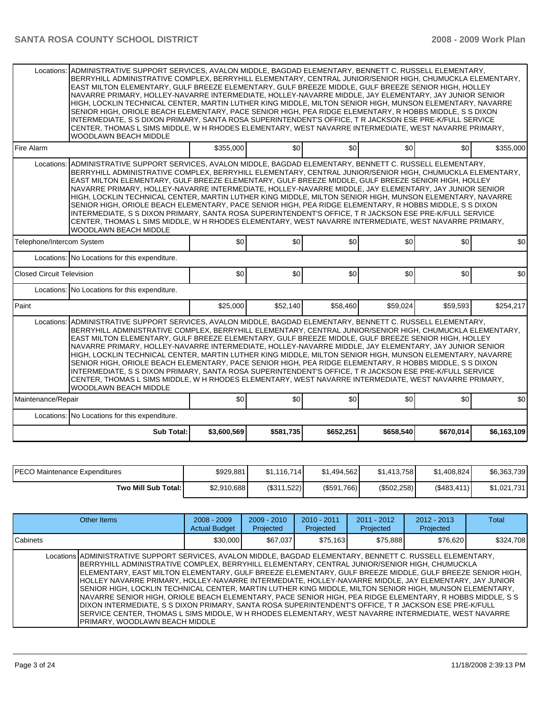| Locations:                                                                                                                                                                                                                                                                                                                                                                                                                                                                                                                                                                                                                                                                                                                                                                                                                                                                                                                | ADMINISTRATIVE SUPPORT SERVICES, AVALON MIDDLE, BAGDAD ELEMENTARY, BENNETT C. RUSSELL ELEMENTARY,<br>BERRYHILL ADMINISTRATIVE COMPLEX, BERRYHILL ELEMENTARY, CENTRAL JUNIOR/SENIOR HIGH, CHUMUCKLA ELEMENTARY,<br>EAST MILTON ELEMENTARY, GULF BREEZE ELEMENTARY, GULF BREEZE MIDDLE, GULF BREEZE SENIOR HIGH, HOLLEY<br>NAVARRE PRIMARY, HOLLEY-NAVARRE INTERMEDIATE, HOLLEY-NAVARRE MIDDLE, JAY ELEMENTARY, JAY JUNIOR SENIOR<br>HIGH, LOCKLIN TECHNICAL CENTER, MARTIN LUTHER KING MIDDLE, MILTON SENIOR HIGH, MUNSON ELEMENTARY, NAVARRE<br>SENIOR HIGH, ORIOLE BEACH ELEMENTARY, PACE SENIOR HIGH, PEA RIDGE ELEMENTARY, R HOBBS MIDDLE, S S DIXON<br>INTERMEDIATE. S S DIXON PRIMARY. SANTA ROSA SUPERINTENDENT'S OFFICE. T R JACKSON ESE PRE-K/FULL SERVICE<br>CENTER, THOMAS L SIMS MIDDLE, W H RHODES ELEMENTARY, WEST NAVARRE INTERMEDIATE, WEST NAVARRE PRIMARY,<br>WOODLAWN BEACH MIDDLE            |             |           |           |           |           |             |  |  |  |
|---------------------------------------------------------------------------------------------------------------------------------------------------------------------------------------------------------------------------------------------------------------------------------------------------------------------------------------------------------------------------------------------------------------------------------------------------------------------------------------------------------------------------------------------------------------------------------------------------------------------------------------------------------------------------------------------------------------------------------------------------------------------------------------------------------------------------------------------------------------------------------------------------------------------------|-----------------------------------------------------------------------------------------------------------------------------------------------------------------------------------------------------------------------------------------------------------------------------------------------------------------------------------------------------------------------------------------------------------------------------------------------------------------------------------------------------------------------------------------------------------------------------------------------------------------------------------------------------------------------------------------------------------------------------------------------------------------------------------------------------------------------------------------------------------------------------------------------------------------|-------------|-----------|-----------|-----------|-----------|-------------|--|--|--|
| Fire Alarm                                                                                                                                                                                                                                                                                                                                                                                                                                                                                                                                                                                                                                                                                                                                                                                                                                                                                                                |                                                                                                                                                                                                                                                                                                                                                                                                                                                                                                                                                                                                                                                                                                                                                                                                                                                                                                                 | \$355,000   | \$0       | \$0       | \$0       | \$0       | \$355,000   |  |  |  |
|                                                                                                                                                                                                                                                                                                                                                                                                                                                                                                                                                                                                                                                                                                                                                                                                                                                                                                                           | Locations: ADMINISTRATIVE SUPPORT SERVICES, AVALON MIDDLE, BAGDAD ELEMENTARY, BENNETT C. RUSSELL ELEMENTARY,<br>BERRYHILL ADMINISTRATIVE COMPLEX, BERRYHILL ELEMENTARY, CENTRAL JUNIOR/SENIOR HIGH, CHUMUCKLA ELEMENTARY,<br>EAST MILTON ELEMENTARY, GULF BREEZE ELEMENTARY, GULF BREEZE MIDDLE, GULF BREEZE SENIOR HIGH, HOLLEY<br>NAVARRE PRIMARY, HOLLEY-NAVARRE INTERMEDIATE, HOLLEY-NAVARRE MIDDLE, JAY ELEMENTARY, JAY JUNIOR SENIOR<br>HIGH, LOCKLIN TECHNICAL CENTER, MARTIN LUTHER KING MIDDLE, MILTON SENIOR HIGH, MUNSON ELEMENTARY, NAVARRE<br>SENIOR HIGH, ORIOLE BEACH ELEMENTARY, PACE SENIOR HIGH, PEA RIDGE ELEMENTARY, R HOBBS MIDDLE, S S DIXON<br>INTERMEDIATE, S S DIXON PRIMARY, SANTA ROSA SUPERINTENDENT'S OFFICE, T R JACKSON ESE PRE-K/FULL SERVICE<br>CENTER, THOMAS L SIMS MIDDLE, W H RHODES ELEMENTARY, WEST NAVARRE INTERMEDIATE, WEST NAVARRE PRIMARY,<br>WOODLAWN BEACH MIDDLE |             |           |           |           |           |             |  |  |  |
| Telephone/Intercom System                                                                                                                                                                                                                                                                                                                                                                                                                                                                                                                                                                                                                                                                                                                                                                                                                                                                                                 |                                                                                                                                                                                                                                                                                                                                                                                                                                                                                                                                                                                                                                                                                                                                                                                                                                                                                                                 | \$0         | \$0       | \$0       | \$0       | \$0       | \$0         |  |  |  |
|                                                                                                                                                                                                                                                                                                                                                                                                                                                                                                                                                                                                                                                                                                                                                                                                                                                                                                                           | Locations: No Locations for this expenditure.                                                                                                                                                                                                                                                                                                                                                                                                                                                                                                                                                                                                                                                                                                                                                                                                                                                                   |             |           |           |           |           |             |  |  |  |
| <b>Closed Circuit Television</b>                                                                                                                                                                                                                                                                                                                                                                                                                                                                                                                                                                                                                                                                                                                                                                                                                                                                                          |                                                                                                                                                                                                                                                                                                                                                                                                                                                                                                                                                                                                                                                                                                                                                                                                                                                                                                                 | \$0         | \$0       | \$0       | \$0       | \$0       | \$0         |  |  |  |
|                                                                                                                                                                                                                                                                                                                                                                                                                                                                                                                                                                                                                                                                                                                                                                                                                                                                                                                           | Locations: No Locations for this expenditure.                                                                                                                                                                                                                                                                                                                                                                                                                                                                                                                                                                                                                                                                                                                                                                                                                                                                   |             |           |           |           |           |             |  |  |  |
| Paint                                                                                                                                                                                                                                                                                                                                                                                                                                                                                                                                                                                                                                                                                                                                                                                                                                                                                                                     |                                                                                                                                                                                                                                                                                                                                                                                                                                                                                                                                                                                                                                                                                                                                                                                                                                                                                                                 | \$25,000    | \$52,140  | \$58,460  | \$59,024  | \$59,593  | \$254,217   |  |  |  |
| ADMINISTRATIVE SUPPORT SERVICES, AVALON MIDDLE, BAGDAD ELEMENTARY, BENNETT C. RUSSELL ELEMENTARY,<br>Locations:<br>BERRYHILL ADMINISTRATIVE COMPLEX, BERRYHILL ELEMENTARY, CENTRAL JUNIOR/SENIOR HIGH, CHUMUCKLA ELEMENTARY,<br>EAST MILTON ELEMENTARY, GULF BREEZE ELEMENTARY, GULF BREEZE MIDDLE, GULF BREEZE SENIOR HIGH, HOLLEY<br>NAVARRE PRIMARY, HOLLEY-NAVARRE INTERMEDIATE, HOLLEY-NAVARRE MIDDLE, JAY ELEMENTARY, JAY JUNIOR SENIOR<br>HIGH, LOCKLIN TECHNICAL CENTER, MARTIN LUTHER KING MIDDLE, MILTON SENIOR HIGH, MUNSON ELEMENTARY, NAVARRE<br>SENIOR HIGH, ORIOLE BEACH ELEMENTARY, PACE SENIOR HIGH, PEA RIDGE ELEMENTARY, R HOBBS MIDDLE, S S DIXON<br>INTERMEDIATE, S S DIXON PRIMARY, SANTA ROSA SUPERINTENDENT'S OFFICE, T R JACKSON ESE PRE-K/FULL SERVICE<br>CENTER, THOMAS L SIMS MIDDLE, W H RHODES ELEMENTARY, WEST NAVARRE INTERMEDIATE, WEST NAVARRE PRIMARY,<br><b>WOODLAWN BEACH MIDDLE</b> |                                                                                                                                                                                                                                                                                                                                                                                                                                                                                                                                                                                                                                                                                                                                                                                                                                                                                                                 |             |           |           |           |           |             |  |  |  |
| Maintenance/Repair                                                                                                                                                                                                                                                                                                                                                                                                                                                                                                                                                                                                                                                                                                                                                                                                                                                                                                        |                                                                                                                                                                                                                                                                                                                                                                                                                                                                                                                                                                                                                                                                                                                                                                                                                                                                                                                 | \$0         | \$0       | \$0       | \$0       | \$0       | \$0         |  |  |  |
|                                                                                                                                                                                                                                                                                                                                                                                                                                                                                                                                                                                                                                                                                                                                                                                                                                                                                                                           | Locations: No Locations for this expenditure.                                                                                                                                                                                                                                                                                                                                                                                                                                                                                                                                                                                                                                                                                                                                                                                                                                                                   |             |           |           |           |           |             |  |  |  |
|                                                                                                                                                                                                                                                                                                                                                                                                                                                                                                                                                                                                                                                                                                                                                                                                                                                                                                                           | <b>Sub Total:</b>                                                                                                                                                                                                                                                                                                                                                                                                                                                                                                                                                                                                                                                                                                                                                                                                                                                                                               | \$3,600,569 | \$581,735 | \$652,251 | \$658,540 | \$670,014 | \$6,163,109 |  |  |  |

| <b>IPECO Maintenance Expenditures</b> | \$929,881   | \$1.116.714] | \$1,494,562 | \$1.413.758 | \$1,408,824 | \$6,363,739 |
|---------------------------------------|-------------|--------------|-------------|-------------|-------------|-------------|
| Two Mill Sub Total: I                 | \$2,910,688 | (S311.522)   | (S591,766)  | (\$502,258) | (\$483,411) | \$1,021,731 |

| Other Items                                                                                                                                                                                                                                                                                                                                                                                                                                                                                                                                                                                                                                                                                                                                                                                                                                                                                                     | $2008 - 2009$<br><b>Actual Budget</b> | 2009 - 2010<br>Projected | $2010 - 2011$<br>Projected | $2011 - 2012$<br>Projected | $2012 - 2013$<br>Projected | Total     |
|-----------------------------------------------------------------------------------------------------------------------------------------------------------------------------------------------------------------------------------------------------------------------------------------------------------------------------------------------------------------------------------------------------------------------------------------------------------------------------------------------------------------------------------------------------------------------------------------------------------------------------------------------------------------------------------------------------------------------------------------------------------------------------------------------------------------------------------------------------------------------------------------------------------------|---------------------------------------|--------------------------|----------------------------|----------------------------|----------------------------|-----------|
| Cabinets                                                                                                                                                                                                                                                                                                                                                                                                                                                                                                                                                                                                                                                                                                                                                                                                                                                                                                        | \$30,000                              | \$67.037                 | \$75,163                   | \$75.888                   | \$76,620                   | \$324,708 |
| Locations ADMINISTRATIVE SUPPORT SERVICES, AVALON MIDDLE, BAGDAD ELEMENTARY, BENNETT C. RUSSELL ELEMENTARY,<br>BERRYHILL ADMINISTRATIVE COMPLEX, BERRYHILL ELEMENTARY, CENTRAL JUNIOR/SENIOR HIGH, CHUMUCKLA<br>IELEMENTARY. EAST MILTON ELEMENTARY. GULF BREEZE ELEMENTARY. GULF BREEZE MIDDLE. GULF BREEZE SENIOR HIGH.<br>HOLLEY NAVARRE PRIMARY, HOLLEY-NAVARRE INTERMEDIATE, HOLLEY-NAVARRE MIDDLE, JAY ELEMENTARY, JAY JUNIOR<br>SENIOR HIGH, LOCKLIN TECHNICAL CENTER, MARTIN LUTHER KING MIDDLE, MILTON SENIOR HIGH, MUNSON ELEMENTARY,<br>NAVARRE SENIOR HIGH, ORIOLE BEACH ELEMENTARY, PACE SENIOR HIGH, PEA RIDGE ELEMENTARY, R HOBBS MIDDLE, S S<br>DIXON INTERMEDIATE, S S DIXON PRIMARY, SANTA ROSA SUPERINTENDENT'S OFFICE, T R JACKSON ESE PRE-K/FULL<br>SERVICE CENTER, THOMAS L SIMS MIDDLE, W H RHODES ELEMENTARY, WEST NAVARRE INTERMEDIATE, WEST NAVARRE<br>PRIMARY, WOODLAWN BEACH MIDDLE |                                       |                          |                            |                            |                            |           |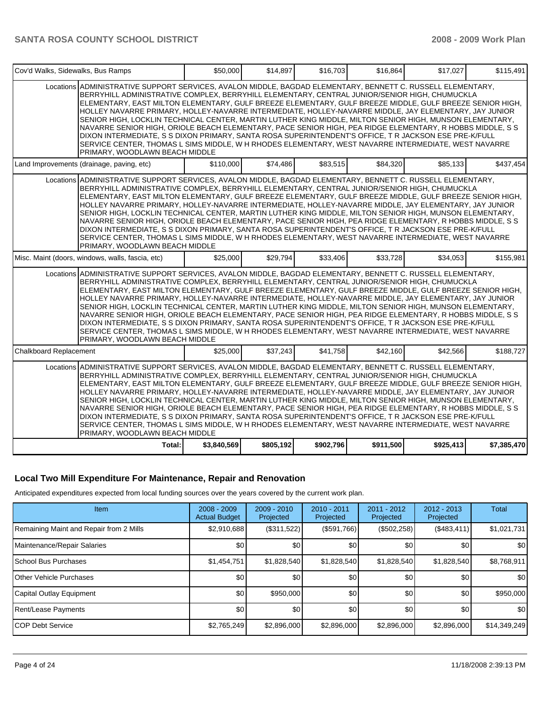| Cov'd Walks, Sidewalks, Bus Ramps                                                                                                                                                                                                                                                                                                                                                                                                                                                                                                                                                                                                                                                                                                                                                                                                                                                                              | \$50,000    | \$14,897  | \$16,703  | \$16,864  | \$17,027  | \$115,491   |
|----------------------------------------------------------------------------------------------------------------------------------------------------------------------------------------------------------------------------------------------------------------------------------------------------------------------------------------------------------------------------------------------------------------------------------------------------------------------------------------------------------------------------------------------------------------------------------------------------------------------------------------------------------------------------------------------------------------------------------------------------------------------------------------------------------------------------------------------------------------------------------------------------------------|-------------|-----------|-----------|-----------|-----------|-------------|
| Locations ADMINISTRATIVE SUPPORT SERVICES, AVALON MIDDLE, BAGDAD ELEMENTARY, BENNETT C. RUSSELL ELEMENTARY,<br>BERRYHILL ADMINISTRATIVE COMPLEX, BERRYHILL ELEMENTARY, CENTRAL JUNIOR/SENIOR HIGH, CHUMUCKLA<br>ELEMENTARY, EAST MILTON ELEMENTARY, GULF BREEZE ELEMENTARY, GULF BREEZE MIDDLE, GULF BREEZE SENIOR HIGH,<br>HOLLEY NAVARRE PRIMARY, HOLLEY-NAVARRE INTERMEDIATE, HOLLEY-NAVARRE MIDDLE, JAY ELEMENTARY, JAY JUNIOR<br>SENIOR HIGH, LOCKLIN TECHNICAL CENTER, MARTIN LUTHER KING MIDDLE, MILTON SENIOR HIGH, MUNSON ELEMENTARY,<br>NAVARRE SENIOR HIGH, ORIOLE BEACH ELEMENTARY, PACE SENIOR HIGH, PEA RIDGE ELEMENTARY, R HOBBS MIDDLE, S S<br>DIXON INTERMEDIATE, S S DIXON PRIMARY, SANTA ROSA SUPERINTENDENT'S OFFICE, T R JACKSON ESE PRE-K/FULL<br>SERVICE CENTER, THOMAS L SIMS MIDDLE, W H RHODES ELEMENTARY, WEST NAVARRE INTERMEDIATE, WEST NAVARRE<br>PRIMARY, WOODLAWN BEACH MIDDLE |             |           |           |           |           |             |
| Land Improvements (drainage, paving, etc)                                                                                                                                                                                                                                                                                                                                                                                                                                                                                                                                                                                                                                                                                                                                                                                                                                                                      | \$110,000   | \$74,486  | \$83,515  | \$84,320  | \$85,133  | \$437,454   |
| Locations ADMINISTRATIVE SUPPORT SERVICES, AVALON MIDDLE, BAGDAD ELEMENTARY, BENNETT C. RUSSELL ELEMENTARY,<br>BERRYHILL ADMINISTRATIVE COMPLEX, BERRYHILL ELEMENTARY, CENTRAL JUNIOR/SENIOR HIGH, CHUMUCKLA<br>ELEMENTARY, EAST MILTON ELEMENTARY, GULF BREEZE ELEMENTARY, GULF BREEZE MIDDLE, GULF BREEZE SENIOR HIGH,<br>HOLLEY NAVARRE PRIMARY, HOLLEY-NAVARRE INTERMEDIATE, HOLLEY-NAVARRE MIDDLE, JAY ELEMENTARY, JAY JUNIOR<br>SENIOR HIGH, LOCKLIN TECHNICAL CENTER, MARTIN LUTHER KING MIDDLE, MILTON SENIOR HIGH, MUNSON ELEMENTARY,<br>NAVARRE SENIOR HIGH, ORIOLE BEACH ELEMENTARY, PACE SENIOR HIGH, PEA RIDGE ELEMENTARY, R HOBBS MIDDLE, S S<br>DIXON INTERMEDIATE, S S DIXON PRIMARY, SANTA ROSA SUPERINTENDENT'S OFFICE, T R JACKSON ESE PRE-K/FULL<br>SERVICE CENTER, THOMAS L SIMS MIDDLE, W H RHODES ELEMENTARY, WEST NAVARRE INTERMEDIATE, WEST NAVARRE<br>PRIMARY, WOODLAWN BEACH MIDDLE |             |           |           |           |           |             |
| Misc. Maint (doors, windows, walls, fascia, etc)                                                                                                                                                                                                                                                                                                                                                                                                                                                                                                                                                                                                                                                                                                                                                                                                                                                               | \$25,000    | \$29,794  | \$33,406  | \$33,728  | \$34,053  | \$155,981   |
| Locations ADMINISTRATIVE SUPPORT SERVICES, AVALON MIDDLE, BAGDAD ELEMENTARY, BENNETT C. RUSSELL ELEMENTARY,<br>BERRYHILL ADMINISTRATIVE COMPLEX, BERRYHILL ELEMENTARY, CENTRAL JUNIOR/SENIOR HIGH, CHUMUCKLA<br>ELEMENTARY, EAST MILTON ELEMENTARY, GULF BREEZE ELEMENTARY, GULF BREEZE MIDDLE, GULF BREEZE SENIOR HIGH,<br>HOLLEY NAVARRE PRIMARY, HOLLEY-NAVARRE INTERMEDIATE, HOLLEY-NAVARRE MIDDLE, JAY ELEMENTARY, JAY JUNIOR<br>SENIOR HIGH, LOCKLIN TECHNICAL CENTER, MARTIN LUTHER KING MIDDLE, MILTON SENIOR HIGH, MUNSON ELEMENTARY,<br>NAVARRE SENIOR HIGH, ORIOLE BEACH ELEMENTARY, PACE SENIOR HIGH, PEA RIDGE ELEMENTARY, R HOBBS MIDDLE, S S<br>DIXON INTERMEDIATE, S S DIXON PRIMARY, SANTA ROSA SUPERINTENDENT'S OFFICE, T R JACKSON ESE PRE-K/FULL<br>SERVICE CENTER, THOMAS L SIMS MIDDLE, W H RHODES ELEMENTARY, WEST NAVARRE INTERMEDIATE, WEST NAVARRE<br>PRIMARY, WOODLAWN BEACH MIDDLE |             |           |           |           |           |             |
| <b>Chalkboard Replacement</b>                                                                                                                                                                                                                                                                                                                                                                                                                                                                                                                                                                                                                                                                                                                                                                                                                                                                                  | \$25,000    | \$37,243  | \$41,758  | \$42,160  | \$42,566  | \$188.727   |
| Locations ADMINISTRATIVE SUPPORT SERVICES, AVALON MIDDLE, BAGDAD ELEMENTARY, BENNETT C. RUSSELL ELEMENTARY,<br>BERRYHILL ADMINISTRATIVE COMPLEX, BERRYHILL ELEMENTARY, CENTRAL JUNIOR/SENIOR HIGH, CHUMUCKLA<br>ELEMENTARY, EAST MILTON ELEMENTARY, GULF BREEZE ELEMENTARY, GULF BREEZE MIDDLE, GULF BREEZE SENIOR HIGH,<br>HOLLEY NAVARRE PRIMARY, HOLLEY-NAVARRE INTERMEDIATE, HOLLEY-NAVARRE MIDDLE, JAY ELEMENTARY, JAY JUNIOR<br>SENIOR HIGH, LOCKLIN TECHNICAL CENTER, MARTIN LUTHER KING MIDDLE, MILTON SENIOR HIGH, MUNSON ELEMENTARY,<br>NAVARRE SENIOR HIGH, ORIOLE BEACH ELEMENTARY, PACE SENIOR HIGH, PEA RIDGE ELEMENTARY, R HOBBS MIDDLE, S S<br>DIXON INTERMEDIATE, S S DIXON PRIMARY, SANTA ROSA SUPERINTENDENT'S OFFICE, T R JACKSON ESE PRE-K/FULL<br>SERVICE CENTER, THOMAS L SIMS MIDDLE, W H RHODES ELEMENTARY, WEST NAVARRE INTERMEDIATE, WEST NAVARRE<br>PRIMARY, WOODLAWN BEACH MIDDLE |             |           |           |           |           |             |
| Total:                                                                                                                                                                                                                                                                                                                                                                                                                                                                                                                                                                                                                                                                                                                                                                                                                                                                                                         | \$3,840,569 | \$805,192 | \$902,796 | \$911,500 | \$925.413 | \$7,385,470 |

### **Local Two Mill Expenditure For Maintenance, Repair and Renovation**

Anticipated expenditures expected from local funding sources over the years covered by the current work plan.

| Item                                    | $2008 - 2009$<br><b>Actual Budget</b> | $2009 - 2010$<br>Projected | $2010 - 2011$<br>Projected | $2011 - 2012$<br>Projected | $2012 - 2013$<br>Projected | Total            |
|-----------------------------------------|---------------------------------------|----------------------------|----------------------------|----------------------------|----------------------------|------------------|
| Remaining Maint and Repair from 2 Mills | \$2,910,688                           | (\$311,522)                | (\$591,766)                | (\$502,258)                | (\$483,411)                | \$1,021,731      |
| Maintenance/Repair Salaries             | \$0                                   | \$0 <sub>1</sub>           | \$0                        | \$0                        | \$0                        | \$0 <sub>1</sub> |
| <b>School Bus Purchases</b>             | \$1,454,751                           | \$1,828,540                | \$1,828,540                | \$1,828,540                | \$1,828,540                | \$8,768,911      |
| <b>Other Vehicle Purchases</b>          | \$0                                   | \$0                        | \$0                        | \$0                        | \$0                        | \$0              |
| Capital Outlay Equipment                | \$0                                   | \$950,000                  | \$0                        | \$0                        | \$0                        | \$950,000        |
| Rent/Lease Payments                     | \$0                                   | \$0 <sub>1</sub>           | \$0                        | \$0                        | \$0                        | \$0              |
| <b>ICOP Debt Service</b>                | \$2,765,249                           | \$2,896,000                | \$2,896,000                | \$2,896,000                | \$2,896,000                | \$14,349,249     |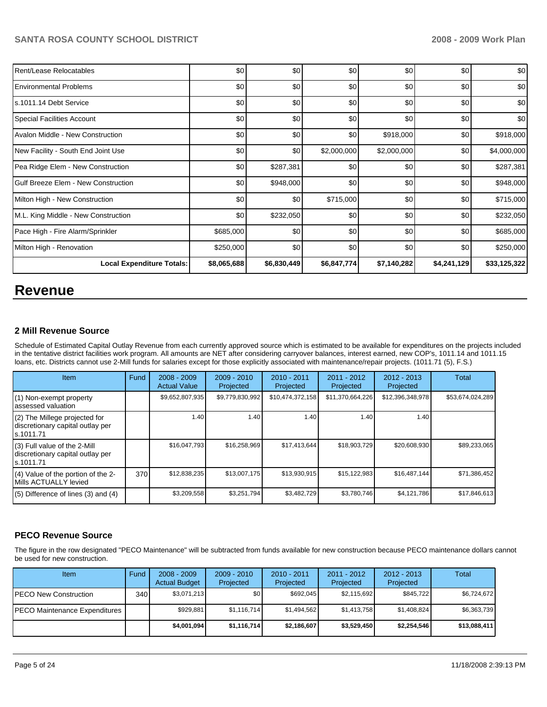| Rent/Lease Relocatables             | \$0         | \$0         | \$0         | \$0         | \$0         | \$0          |
|-------------------------------------|-------------|-------------|-------------|-------------|-------------|--------------|
| Environmental Problems              | \$0         | \$0         | \$0         | \$0         | \$0         | \$0          |
| ls.1011.14 Debt Service             | \$0         | \$0         | \$0         | \$0         | \$0         | \$0          |
| Special Facilities Account          | \$0         | \$0         | \$0         | \$0         | \$0         | \$0          |
| Avalon Middle - New Construction    | \$0         | \$0         | \$0         | \$918,000   | \$0         | \$918,000    |
| New Facility - South End Joint Use  | \$0         | \$0         | \$2,000,000 | \$2,000,000 | \$0         | \$4,000,000  |
| Pea Ridge Elem - New Construction   | \$0         | \$287,381   | \$0         | \$0         | \$0         | \$287,381    |
| Gulf Breeze Elem - New Construction | \$0         | \$948,000   | \$0         | \$0         | \$0         | \$948,000    |
| Milton High - New Construction      | \$0         | \$0         | \$715,000   | \$0         | \$0         | \$715,000    |
| M.L. King Middle - New Construction | \$0         | \$232,050   | \$0         | \$0         | \$0         | \$232,050    |
| Pace High - Fire Alarm/Sprinkler    | \$685,000   | \$0         | \$0         | \$0         | \$0         | \$685,000    |
| Milton High - Renovation            | \$250,000   | \$0         | \$0         | \$0         | \$0         | \$250,000    |
| <b>Local Expenditure Totals:</b>    | \$8,065,688 | \$6,830,449 | \$6,847,774 | \$7,140,282 | \$4,241,129 | \$33,125,322 |

# **Revenue**

### **2 Mill Revenue Source**

Schedule of Estimated Capital Outlay Revenue from each currently approved source which is estimated to be available for expenditures on the projects included in the tentative district facilities work program. All amounts are NET after considering carryover balances, interest earned, new COP's, 1011.14 and 1011.15 loans, etc. Districts cannot use 2-Mill funds for salaries except for those explicitly associated with maintenance/repair projects. (1011.71 (5), F.S.)

| Item                                                                            | Fund | $2008 - 2009$<br><b>Actual Value</b> | $2009 - 2010$<br>Projected | $2010 - 2011$<br>Projected | $2011 - 2012$<br>Projected | $2012 - 2013$<br>Projected | Total            |
|---------------------------------------------------------------------------------|------|--------------------------------------|----------------------------|----------------------------|----------------------------|----------------------------|------------------|
| (1) Non-exempt property<br>assessed valuation                                   |      | \$9,652,807,935                      | \$9,779,830,992            | \$10,474,372,158           | \$11,370,664,226           | \$12,396,348,978           | \$53,674,024,289 |
| (2) The Millege projected for<br>discretionary capital outlay per<br>ls.1011.71 |      | 1.40                                 | 1.40                       | 1.40                       | 1.40                       | 1.40                       |                  |
| (3) Full value of the 2-Mill<br>discretionary capital outlay per<br>s.1011.71   |      | \$16,047.793                         | \$16,258,969               | \$17,413,644               | \$18,903,729               | \$20,608,930               | \$89,233,065     |
| (4) Value of the portion of the 2-<br>Mills ACTUALLY levied                     | 370  | \$12,838,235                         | \$13,007,175               | \$13,930,915               | \$15,122,983               | \$16,487,144               | \$71,386,452     |
| $(5)$ Difference of lines (3) and (4)                                           |      | \$3,209,558                          | \$3,251,794                | \$3,482,729                | \$3,780,746                | \$4,121,786                | \$17,846,613     |

### **PECO Revenue Source**

The figure in the row designated "PECO Maintenance" will be subtracted from funds available for new construction because PECO maintenance dollars cannot be used for new construction.

| Item                          | Fund  | $2008 - 2009$<br><b>Actual Budget</b> | $2009 - 2010$<br>Projected | $2010 - 2011$<br>Projected | 2011 - 2012<br>Projected | $2012 - 2013$<br>Projected | Total        |
|-------------------------------|-------|---------------------------------------|----------------------------|----------------------------|--------------------------|----------------------------|--------------|
| IPECO New Construction        | 340 l | \$3,071,213                           | \$0 <sub>1</sub>           | \$692,045                  | \$2,115,692              | \$845,722                  | \$6,724,672  |
| PECO Maintenance Expenditures |       | \$929,881                             | \$1,116,714                | \$1.494.562                | \$1.413.758              | \$1,408,824                | \$6,363,739  |
|                               |       | \$4,001,094                           | \$1,116,714                | \$2,186,607                | \$3,529,450              | \$2,254,546                | \$13,088,411 |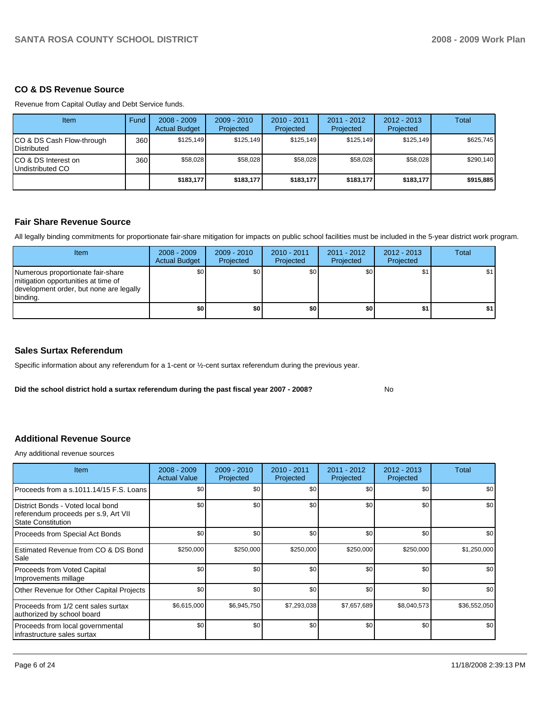# **CO & DS Revenue Source**

Revenue from Capital Outlay and Debt Service funds.

| <b>Item</b>                                       | Fund | $2008 - 2009$<br><b>Actual Budget</b> | $2009 - 2010$<br>Projected | $2010 - 2011$<br>Projected | $2011 - 2012$<br>Projected | $2012 - 2013$<br>Projected | Total     |
|---------------------------------------------------|------|---------------------------------------|----------------------------|----------------------------|----------------------------|----------------------------|-----------|
| CO & DS Cash Flow-through<br><b>I</b> Distributed | 360  | \$125.149                             | \$125.149                  | \$125.149                  | \$125.149                  | \$125.149                  | \$625.745 |
| ICO & DS Interest on<br>Undistributed CO          | 360  | \$58.028                              | \$58.028                   | \$58.028                   | \$58.028                   | \$58.028                   | \$290,140 |
|                                                   |      | \$183,177                             | \$183.177                  | \$183.177                  | \$183.177                  | \$183,177                  | \$915,885 |

### **Fair Share Revenue Source**

All legally binding commitments for proportionate fair-share mitigation for impacts on public school facilities must be included in the 5-year district work program.

| Item                                                                                                                              | $2008 - 2009$<br><b>Actual Budget</b> | $2009 - 2010$<br>Projected | $2010 - 2011$<br>Projected | $2011 - 2012$<br>Projected | $2012 - 2013$<br>Projected | Total |
|-----------------------------------------------------------------------------------------------------------------------------------|---------------------------------------|----------------------------|----------------------------|----------------------------|----------------------------|-------|
| Numerous proportionate fair-share<br>I mitigation opportunities at time of<br>development order, but none are legally<br>binding. | \$0                                   | \$0                        | \$0                        | \$0                        | \$1                        | \$1   |
|                                                                                                                                   | \$0                                   | \$0                        | \$0                        | \$0                        | \$1                        |       |

### **Sales Surtax Referendum**

Specific information about any referendum for a 1-cent or ½-cent surtax referendum during the previous year.

**Did the school district hold a surtax referendum during the past fiscal year 2007 - 2008?** No

# **Additional Revenue Source**

Any additional revenue sources

| <b>Item</b>                                                                                            | $2008 - 2009$<br><b>Actual Value</b> | $2009 - 2010$<br>Projected | 2010 - 2011<br>Projected | 2011 - 2012<br>Projected | $2012 - 2013$<br>Projected | <b>Total</b> |
|--------------------------------------------------------------------------------------------------------|--------------------------------------|----------------------------|--------------------------|--------------------------|----------------------------|--------------|
| Proceeds from a s.1011.14/15 F.S. Loans                                                                | \$0                                  | \$0                        | \$0                      | \$0                      | \$0                        | \$0          |
| District Bonds - Voted local bond<br>referendum proceeds per s.9, Art VII<br><b>State Constitution</b> | \$0                                  | \$0                        | \$0                      | \$0                      | \$0                        | \$0          |
| Proceeds from Special Act Bonds                                                                        | \$0                                  | \$0                        | \$0                      | \$0                      | \$0                        | \$0          |
| Estimated Revenue from CO & DS Bond<br>Sale                                                            | \$250,000                            | \$250,000                  | \$250,000                | \$250,000                | \$250,000                  | \$1,250,000  |
| <b>Proceeds from Voted Capital</b><br>Improvements millage                                             | \$0                                  | \$0                        | \$0                      | \$0                      | \$0                        | \$0          |
| Other Revenue for Other Capital Projects                                                               | \$0                                  | \$0                        | \$0                      | \$0                      | \$0                        | \$0          |
| Proceeds from 1/2 cent sales surtax<br>authorized by school board                                      | \$6,615,000                          | \$6,945,750                | \$7,293,038              | \$7,657,689              | \$8,040,573                | \$36,552,050 |
| Proceeds from local governmental<br>Infrastructure sales surtax                                        | \$0                                  | \$0                        | \$0                      | \$0                      | \$0                        | \$0          |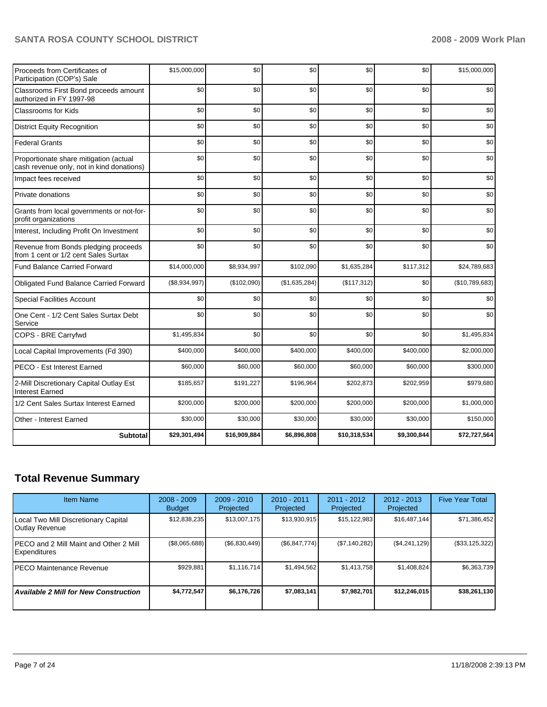| Proceeds from Certificates of<br>Participation (COP's) Sale                         | \$15,000,000  | \$0          | \$0           | \$0          | \$0         | \$15,000,000   |
|-------------------------------------------------------------------------------------|---------------|--------------|---------------|--------------|-------------|----------------|
| Classrooms First Bond proceeds amount<br>authorized in FY 1997-98                   | \$0           | \$0          | \$0           | \$0          | \$0         | \$0            |
| <b>Classrooms for Kids</b>                                                          | \$0           | \$0          | \$0           | \$0          | \$0         | \$0            |
| <b>District Equity Recognition</b>                                                  | \$0           | \$0          | \$0           | \$0          | \$0         | \$0            |
| <b>Federal Grants</b>                                                               | \$0           | \$0          | \$0           | \$0          | \$0         | \$0            |
| Proportionate share mitigation (actual<br>cash revenue only, not in kind donations) | \$0           | \$0          | \$0           | \$0          | \$0         | \$0            |
| Impact fees received                                                                | \$0           | \$0          | \$0           | \$0          | \$0         | \$0            |
| Private donations                                                                   | \$0           | \$0          | \$0           | \$0          | \$0         | \$0            |
| Grants from local governments or not-for-<br>profit organizations                   | \$0           | \$0          | \$0           | \$0          | \$0         | \$0            |
| Interest, Including Profit On Investment                                            | \$0           | \$0          | \$0           | \$0          | \$0         | \$0            |
| Revenue from Bonds pledging proceeds<br>from 1 cent or 1/2 cent Sales Surtax        | \$0           | \$0          | \$0           | \$0          | \$0         | \$0            |
| <b>Fund Balance Carried Forward</b>                                                 | \$14,000,000  | \$8,934,997  | \$102,090     | \$1,635,284  | \$117,312   | \$24,789,683   |
| Obligated Fund Balance Carried Forward                                              | (\$8,934,997) | (\$102,090)  | (\$1,635,284) | (\$117,312)  | \$0         | (\$10,789,683) |
| <b>Special Facilities Account</b>                                                   | \$0           | \$0          | \$0           | \$0          | \$0         | \$0            |
| One Cent - 1/2 Cent Sales Surtax Debt<br>Service                                    | \$0           | \$0          | \$0           | \$0          | \$0         | \$0            |
| COPS - BRE Carryfwd                                                                 | \$1,495,834   | \$0          | \$0           | \$0          | \$0         | \$1,495,834    |
| Local Capital Improvements (Fd 390)                                                 | \$400,000     | \$400,000    | \$400,000     | \$400,000    | \$400,000   | \$2,000,000    |
| PECO - Est Interest Earned                                                          | \$60,000      | \$60,000     | \$60,000      | \$60,000     | \$60,000    | \$300,000      |
| 2-Mill Discretionary Capital Outlay Est<br><b>Interest Earned</b>                   | \$185,657     | \$191,227    | \$196,964     | \$202,873    | \$202,959   | \$979,680      |
| 1/2 Cent Sales Surtax Interest Earned                                               | \$200,000     | \$200,000    | \$200,000     | \$200,000    | \$200,000   | \$1,000,000    |
| Other - Interest Earned                                                             | \$30,000      | \$30,000     | \$30,000      | \$30,000     | \$30,000    | \$150,000      |
| <b>Subtotal</b>                                                                     | \$29,301,494  | \$16,909,884 | \$6,896,808   | \$10,318,534 | \$9,300,844 | \$72,727,564   |

# **Total Revenue Summary**

| <b>Item Name</b>                                        | $2008 - 2009$<br><b>Budget</b> | $2009 - 2010$<br>Projected | $2010 - 2011$<br>Projected | $2011 - 2012$<br>Projected | $2012 - 2013$<br>Projected | <b>Five Year Total</b> |
|---------------------------------------------------------|--------------------------------|----------------------------|----------------------------|----------------------------|----------------------------|------------------------|
| Local Two Mill Discretionary Capital<br>Outlay Revenue  | \$12,838,235                   | \$13,007,175               | \$13,930,915               | \$15,122,983               | \$16,487,144               | \$71,386,452           |
| IPECO and 2 Mill Maint and Other 2 Mill<br>Expenditures | (\$8,065,688)                  | (\$6,830,449)              | (\$6,847,774)              | (\$7,140,282)              | (\$4,241,129)              | (\$33, 125, 322)       |
| IPECO Maintenance Revenue                               | \$929,881                      | \$1,116,714                | \$1,494,562                | \$1,413,758                | \$1,408,824                | \$6,363,739            |
| <b>Available 2 Mill for New Construction</b>            | \$4,772,547                    | \$6,176,726                | \$7,083,141                | \$7,982,701                | \$12,246,015               | \$38,261,130           |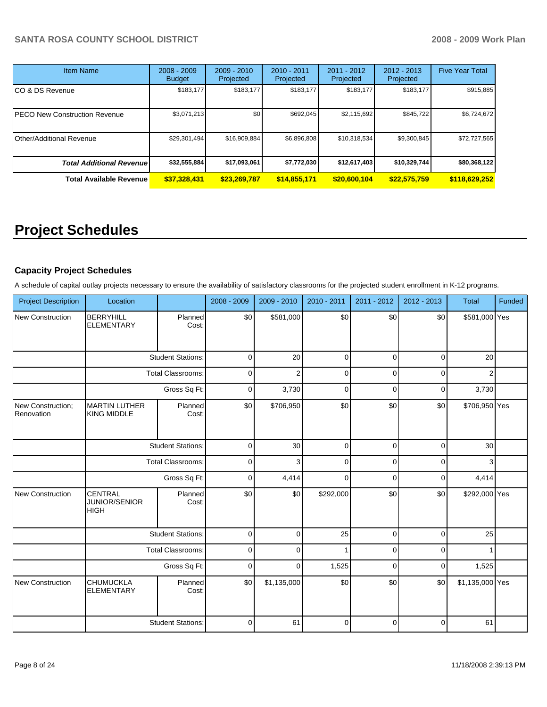| <b>Item Name</b>                     | $2008 - 2009$<br><b>Budget</b> | $2009 - 2010$<br>Projected | $2010 - 2011$<br>Projected | 2011 - 2012<br>Projected | $2012 - 2013$<br>Projected | <b>Five Year Total</b> |
|--------------------------------------|--------------------------------|----------------------------|----------------------------|--------------------------|----------------------------|------------------------|
| CO & DS Revenue                      | \$183,177                      | \$183,177                  | \$183.177                  | \$183,177                | \$183,177                  | \$915,885              |
| <b>PECO New Construction Revenue</b> | \$3,071,213                    | \$0                        | \$692.045                  | \$2,115,692              | \$845.722                  | \$6,724,672            |
| Other/Additional Revenue             | \$29,301,494                   | \$16,909,884               | \$6,896,808                | \$10,318,534             | \$9,300,845                | \$72,727,565           |
| <b>Total Additional Revenuel</b>     | \$32,555,884                   | \$17,093,061               | \$7,772,030                | \$12,617,403             | \$10,329,744               | \$80,368,122           |
| <b>Total Available Revenue</b>       | \$37,328,431                   | \$23,269,787               | \$14,855,171               | \$20,600,104             | \$22,575,759               | \$118,629,252          |

# **Project Schedules**

# **Capacity Project Schedules**

A schedule of capital outlay projects necessary to ensure the availability of satisfactory classrooms for the projected student enrollment in K-12 programs.

| <b>Project Description</b>      | Location                                       |                          | 2008 - 2009 | 2009 - 2010    | 2010 - 2011  | 2011 - 2012 | 2012 - 2013 | <b>Total</b>    | Funded |
|---------------------------------|------------------------------------------------|--------------------------|-------------|----------------|--------------|-------------|-------------|-----------------|--------|
| <b>New Construction</b>         | <b>BERRYHILL</b><br><b>ELEMENTARY</b>          | Planned<br>Cost:         | \$0         | \$581,000      | \$0          | \$0         | \$0         | \$581,000 Yes   |        |
|                                 |                                                | <b>Student Stations:</b> | $\mathbf 0$ | 20             | $\mathbf 0$  | $\mathbf 0$ | 0           | 20              |        |
|                                 |                                                | <b>Total Classrooms:</b> | $\mathbf 0$ | $\overline{2}$ | $\mathbf 0$  | 0           | $\Omega$    | 2               |        |
|                                 |                                                | Gross Sq Ft:             | $\pmb{0}$   | 3,730          | $\pmb{0}$    | $\mathbf 0$ | 0           | 3,730           |        |
| New Construction;<br>Renovation | <b>MARTIN LUTHER</b><br><b>KING MIDDLE</b>     | Planned<br>Cost:         | \$0         | \$706,950      | \$0          | \$0         | \$0         | \$706,950 Yes   |        |
|                                 |                                                | <b>Student Stations:</b> | $\pmb{0}$   | 30             | $\mathbf 0$  | $\Omega$    | $\Omega$    | 30              |        |
|                                 |                                                | <b>Total Classrooms:</b> | $\pmb{0}$   | 3              | $\mathbf 0$  | 0           | 0           | 3               |        |
|                                 |                                                | Gross Sq Ft:             | 0           | 4,414          | $\mathbf 0$  | $\Omega$    | 0           | 4,414           |        |
| <b>New Construction</b>         | CENTRAL<br><b>JUNIOR/SENIOR</b><br><b>HIGH</b> | Planned<br>Cost:         | \$0         | \$0            | \$292,000    | \$0         | \$0         | \$292,000 Yes   |        |
|                                 |                                                | <b>Student Stations:</b> | $\mathbf 0$ | $\mathbf 0$    | 25           | $\mathbf 0$ | $\Omega$    | 25              |        |
|                                 |                                                | Total Classrooms:        | $\pmb{0}$   | $\Omega$       | $\mathbf{1}$ | 0           | 0           |                 |        |
|                                 |                                                | Gross Sq Ft:             | 0           | 0              | 1,525        | $\mathbf 0$ | 0           | 1,525           |        |
| <b>New Construction</b>         | CHUMUCKLA<br><b>ELEMENTARY</b>                 | Planned<br>Cost:         | \$0         | \$1,135,000    | \$0          | \$0         | \$0         | \$1,135,000 Yes |        |
|                                 |                                                | <b>Student Stations:</b> | $\mathbf 0$ | 61             | $\pmb{0}$    | $\mathbf 0$ | $\Omega$    | 61              |        |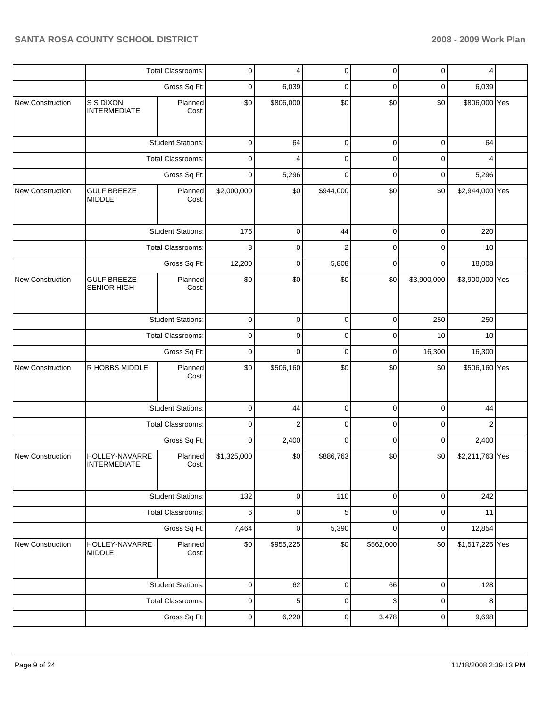|                         |                                          | <b>Total Classrooms:</b> | 0           | 4              | 0              | 0           | 0           | 4               |  |
|-------------------------|------------------------------------------|--------------------------|-------------|----------------|----------------|-------------|-------------|-----------------|--|
|                         |                                          | Gross Sq Ft:             | 0           | 6,039          | 0              | 0           | 0           | 6,039           |  |
| New Construction        | S S DIXON<br><b>INTERMEDIATE</b>         | Planned<br>Cost:         | \$0         | \$806,000      | \$0            | \$0         | \$0         | \$806,000 Yes   |  |
|                         |                                          | <b>Student Stations:</b> | 0           | 64             | 0              | 0           | 0           | 64              |  |
|                         |                                          | Total Classrooms:        | 0           | 4              | 0              | 0           | 0           | 4               |  |
|                         |                                          | Gross Sq Ft:             | 0           | 5,296          | $\mathbf 0$    | $\mathbf 0$ | 0           | 5,296           |  |
| <b>New Construction</b> | <b>GULF BREEZE</b><br><b>MIDDLE</b>      | Planned<br>Cost:         | \$2,000,000 | \$0            | \$944,000      | \$0         | \$0         | \$2,944,000 Yes |  |
|                         |                                          | <b>Student Stations:</b> | 176         | 0              | 44             | $\mathbf 0$ | $\mathbf 0$ | 220             |  |
|                         |                                          | Total Classrooms:        | 8           | 0              | $\overline{2}$ | 0           | 0           | 10              |  |
|                         |                                          | Gross Sq Ft:             | 12,200      | 0              | 5,808          | 0           | 0           | 18,008          |  |
| New Construction        | <b>GULF BREEZE</b><br><b>SENIOR HIGH</b> | Planned<br>Cost:         | \$0         | \$0            | \$0            | \$0         | \$3,900,000 | \$3,900,000 Yes |  |
|                         |                                          | <b>Student Stations:</b> | 0           | 0              | 0              | 0           | 250         | 250             |  |
|                         |                                          | Total Classrooms:        |             | $\mathbf 0$    | 0              | 0           | 10          | 10              |  |
|                         |                                          | Gross Sq Ft:             | 0           | 0              | 0              | 0           | 16,300      | 16,300          |  |
| <b>New Construction</b> | R HOBBS MIDDLE                           | Planned<br>Cost:         | \$0         | \$506,160      | \$0            | \$0         | \$0         | \$506,160 Yes   |  |
|                         |                                          | <b>Student Stations:</b> | 0           | 44             | 0              | 0           | 0           | 44              |  |
|                         |                                          | Total Classrooms:        | 0           | $\overline{2}$ | 0              | 0           | 0           | 2               |  |
|                         |                                          | Gross Sq Ft:             | 0           | 2,400          | $\mathbf 0$    | 0           | 0           | 2,400           |  |
| New Construction        | HOLLEY-NAVARRE<br><b>INTERMEDIATE</b>    | Planned<br>Cost:         | \$1,325,000 | \$0            | \$886,763      | \$0         | \$0         | \$2,211,763 Yes |  |
|                         |                                          | <b>Student Stations:</b> | 132         | 0              | 110            | $\pmb{0}$   | $\mathbf 0$ | 242             |  |
|                         |                                          | Total Classrooms:        | 6           | 0              | 5              | 0           | 0           | 11              |  |
|                         |                                          | Gross Sq Ft:             | 7,464       | 0              | 5,390          | 0           | 0           | 12,854          |  |
| <b>New Construction</b> | HOLLEY-NAVARRE<br><b>MIDDLE</b>          | Planned<br>Cost:         | \$0         | \$955,225      | \$0            | \$562,000   | \$0         | \$1,517,225 Yes |  |
|                         |                                          | <b>Student Stations:</b> | 0           | 62             | 0              | 66          | 0           | 128             |  |
|                         |                                          | Total Classrooms:        | 0           | 5              | 0              | 3           | 0           | 8               |  |
|                         |                                          | Gross Sq Ft:             | 0           | 6,220          | 0              | 3,478       | 0           | 9,698           |  |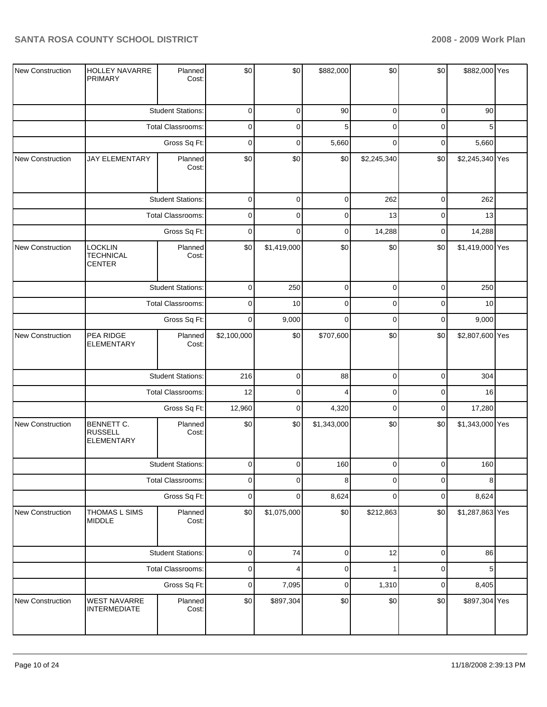| New Construction | <b>HOLLEY NAVARRE</b><br><b>PRIMARY</b>           | Planned<br>Cost:         | \$0         | \$0         | \$882,000   | \$0          | \$0         | \$882,000 Yes   |  |
|------------------|---------------------------------------------------|--------------------------|-------------|-------------|-------------|--------------|-------------|-----------------|--|
|                  |                                                   | <b>Student Stations:</b> | $\mathbf 0$ | $\mathbf 0$ | 90          | $\mathbf 0$  | $\mathbf 0$ | 90              |  |
|                  |                                                   | Total Classrooms:        |             | 0           | 5           | $\pmb{0}$    | $\mathbf 0$ | 5               |  |
|                  |                                                   |                          | $\mathbf 0$ | 0           | 5,660       | $\mathbf 0$  | $\mathbf 0$ | 5,660           |  |
| New Construction | <b>JAY ELEMENTARY</b>                             | Planned<br>Cost:         | \$0         | \$0         | \$0         | \$2,245,340  | \$0         | \$2,245,340 Yes |  |
|                  |                                                   | <b>Student Stations:</b> | $\pmb{0}$   | 0           | $\pmb{0}$   | 262          | $\pmb{0}$   | 262             |  |
|                  |                                                   | Total Classrooms:        | $\pmb{0}$   | 0           | 0           | 13           | $\mathbf 0$ | 13              |  |
|                  |                                                   | Gross Sq Ft:             | $\mathbf 0$ | 0           | 0           | 14,288       | $\mathbf 0$ | 14,288          |  |
| New Construction | LOCKLIN<br><b>TECHNICAL</b><br><b>CENTER</b>      | Planned<br>Cost:         | \$0         | \$1,419,000 | \$0         | \$0          | \$0         | \$1,419,000 Yes |  |
|                  |                                                   | <b>Student Stations:</b> | $\mathbf 0$ | 250         | $\pmb{0}$   | $\pmb{0}$    | $\mathbf 0$ | 250             |  |
|                  |                                                   | Total Classrooms:        | $\mathbf 0$ | 10          | $\pmb{0}$   | $\pmb{0}$    | $\mathbf 0$ | 10              |  |
|                  |                                                   | Gross Sq Ft:             | $\mathbf 0$ | 9,000       | $\mathbf 0$ | $\mathbf 0$  | $\mathbf 0$ | 9,000           |  |
| New Construction | PEA RIDGE<br><b>ELEMENTARY</b>                    | Planned<br>Cost:         | \$2,100,000 | \$0         | \$707,600   | \$0          | \$0         | \$2,807,600 Yes |  |
|                  |                                                   | <b>Student Stations:</b> | 216         | 0           | 88          | $\pmb{0}$    | $\pmb{0}$   | 304             |  |
|                  |                                                   | Total Classrooms:        | 12          | 0           | 4           | $\mathbf 0$  | $\mathbf 0$ | 16              |  |
|                  |                                                   | Gross Sq Ft:             | 12,960      | 0           | 4,320       | $\pmb{0}$    | $\mathbf 0$ | 17,280          |  |
| New Construction | BENNETT C.<br><b>RUSSELL</b><br><b>ELEMENTARY</b> | Planned<br>Cost:         | \$0         | \$0         | \$1,343,000 | \$0          | \$0         | \$1,343,000 Yes |  |
|                  |                                                   | <b>Student Stations:</b> | 0           | $\Omega$    | 160         | $\Omega$     | $\Omega$    | 160             |  |
|                  |                                                   | Total Classrooms:        | 0           | 0           | 8           | $\pmb{0}$    | $\pmb{0}$   | 8               |  |
|                  |                                                   | Gross Sq Ft:             | $\mathbf 0$ | 0           | 8,624       | $\pmb{0}$    | $\pmb{0}$   | 8,624           |  |
| New Construction | THOMAS L SIMS<br><b>MIDDLE</b>                    | Planned<br>Cost:         | \$0         | \$1,075,000 | \$0         | \$212,863    | \$0         | \$1,287,863 Yes |  |
|                  |                                                   | <b>Student Stations:</b> | $\mathsf 0$ | 74          | $\mathsf 0$ | 12           | $\mathbf 0$ | 86              |  |
|                  |                                                   | Total Classrooms:        | $\pmb{0}$   | 4           | $\pmb{0}$   | $\mathbf{1}$ | $\pmb{0}$   | 5               |  |
|                  |                                                   | Gross Sq Ft:             | $\pmb{0}$   | 7,095       | $\pmb{0}$   | 1,310        | $\pmb{0}$   | 8,405           |  |
| New Construction | WEST NAVARRE<br><b>INTERMEDIATE</b>               | Planned<br>Cost:         | \$0         | \$897,304   | \$0         | \$0          | $\$0$       | \$897,304 Yes   |  |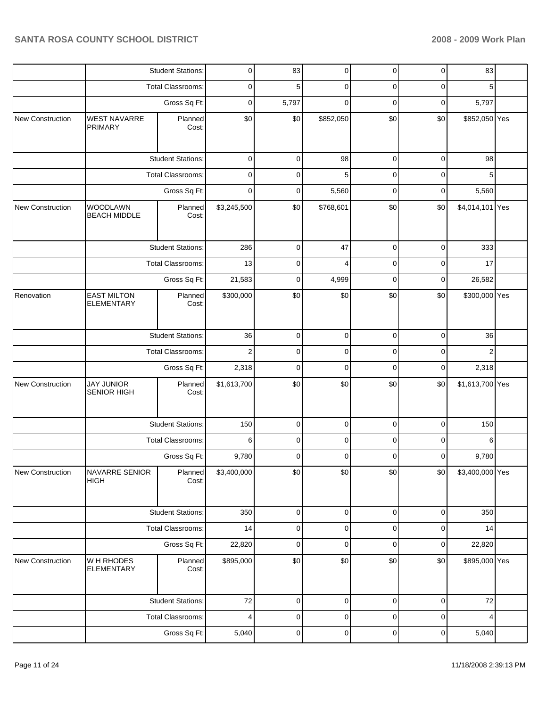|                  |                                         | <b>Student Stations:</b> |                | 83          | 0           | $\mathbf 0$ | $\pmb{0}$   | 83              |  |
|------------------|-----------------------------------------|--------------------------|----------------|-------------|-------------|-------------|-------------|-----------------|--|
|                  |                                         | <b>Total Classrooms:</b> | 0              | 5           | 0           | 0           | 0           | 5               |  |
|                  |                                         | Gross Sq Ft:             | 0              | 5,797       | $\mathbf 0$ | 0           | 0           | 5,797           |  |
| New Construction | <b>WEST NAVARRE</b><br><b>PRIMARY</b>   | Planned<br>Cost:         | \$0            | \$0         | \$852,050   | \$0         | \$0         | \$852,050 Yes   |  |
|                  |                                         | <b>Student Stations:</b> | $\mathbf 0$    | 0           | 98          | $\pmb{0}$   | $\mathbf 0$ | 98              |  |
|                  |                                         | <b>Total Classrooms:</b> | 0              | 0           | 5           | 0           | $\mathbf 0$ | 5               |  |
|                  |                                         | Gross Sq Ft:             | 0              | 0           | 5,560       | $\mathbf 0$ | $\mathbf 0$ | 5,560           |  |
| New Construction | <b>WOODLAWN</b><br><b>BEACH MIDDLE</b>  | Planned<br>Cost:         | \$3,245,500    | \$0         | \$768,601   | \$0         | \$0         | \$4,014,101 Yes |  |
|                  |                                         | <b>Student Stations:</b> | 286            | 0           | 47          | 0           | $\mathbf 0$ | 333             |  |
|                  |                                         | Total Classrooms:        | 13             | 0           | 4           | 0           | 0           | 17              |  |
|                  |                                         | Gross Sq Ft:             | 21,583         | 0           | 4,999       | 0           | 0           | 26,582          |  |
| Renovation       | <b>EAST MILTON</b><br><b>ELEMENTARY</b> | Planned<br>Cost:         | \$300,000      | \$0         | \$0         | \$0         | \$0         | \$300,000 Yes   |  |
|                  |                                         | <b>Student Stations:</b> | 36             | 0           | $\mathsf 0$ | $\pmb{0}$   | $\pmb{0}$   | 36              |  |
|                  |                                         | Total Classrooms:        | $\overline{2}$ | 0           | 0           | 0           | $\mathbf 0$ | $\overline{2}$  |  |
|                  |                                         | Gross Sq Ft:             | 2,318          | 0           | $\mathbf 0$ | 0           | 0           | 2,318           |  |
| New Construction | <b>JAY JUNIOR</b><br><b>SENIOR HIGH</b> | Planned<br>Cost:         | \$1,613,700    | \$0         | \$0         | \$0         | \$0         | \$1,613,700 Yes |  |
|                  |                                         | <b>Student Stations:</b> | 150            | 0           | 0           | 0           | $\mathbf 0$ | 150             |  |
|                  |                                         | <b>Total Classrooms:</b> | 6              | 0           | 0           | 0           | 0           | 6               |  |
|                  |                                         | Gross Sq Ft:             | 9,780          | 0           | 0           | 0           | 0           | 9,780           |  |
| New Construction | <b>NAVARRE SENIOR</b><br>HIGH           | Planned<br>Cost:         | \$3,400,000    | \$0         | \$0         | \$0         | \$0         | \$3,400,000 Yes |  |
|                  |                                         | <b>Student Stations:</b> | 350            | 0           | $\pmb{0}$   | $\mathbf 0$ | $\pmb{0}$   | 350             |  |
|                  |                                         | Total Classrooms:        | 14             | $\mathbf 0$ | $\mathbf 0$ | $\mathsf 0$ | $\pmb{0}$   | 14              |  |
|                  |                                         | Gross Sq Ft:             | 22,820         | 0           | $\pmb{0}$   | $\mathbf 0$ | $\pmb{0}$   | 22,820          |  |
| New Construction | W H RHODES<br><b>ELEMENTARY</b>         | Planned<br>Cost:         | \$895,000      | $\$0$       | \$0         | \$0         | \$0         | \$895,000 Yes   |  |
|                  |                                         | <b>Student Stations:</b> | $72\,$         | 0           | 0           | 0           | $\mathbf 0$ | $72\,$          |  |
|                  |                                         | <b>Total Classrooms:</b> | 4              | 0           | 0           | 0           | 0           | 4               |  |
|                  |                                         | Gross Sq Ft:             | 5,040          | 0           | 0           | $\pmb{0}$   | 0           | 5,040           |  |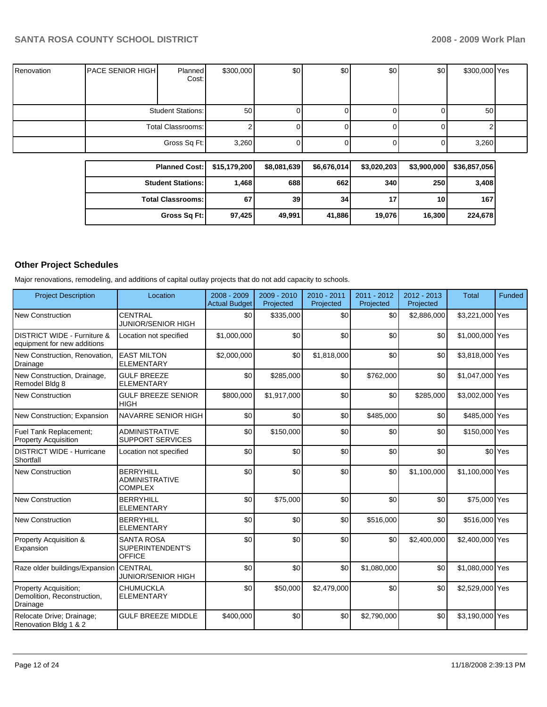| Renovation | <b>PACE SENIOR HIGHI</b> | Planned<br>Cost:         | \$300,000 | \$0 | \$0 | \$0 | \$0 | \$300,000 Yes |  |
|------------|--------------------------|--------------------------|-----------|-----|-----|-----|-----|---------------|--|
|            |                          | <b>Student Stations:</b> | 50        |     |     |     | U   | 50            |  |
|            |                          | Total Classrooms:        |           |     |     |     | U   |               |  |
|            |                          | Gross Sq Ft:             | 3,260     |     |     |     | 0   | 3,260         |  |

| Planned Cost:   \$15,179,200 |        | \$8,081,639 | \$6,676,014 | \$3,020,203     | \$3,900,000 | \$36,857,056 |
|------------------------------|--------|-------------|-------------|-----------------|-------------|--------------|
| <b>Student Stations:</b>     | 1.468  | 688         | 662         | 340             | 250         | 3,408        |
| <b>Total Classrooms:</b>     | 67     | 39          | 34          | 17 <sub>1</sub> | 10 I        | 167          |
| Gross Sq Ft:                 | 97,425 | 49,991      | 41,886      | 19,076          | 16,300      | 224,678      |

# **Other Project Schedules**

Major renovations, remodeling, and additions of capital outlay projects that do not add capacity to schools.

| <b>Project Description</b>                                       | Location                                                    | 2008 - 2009<br><b>Actual Budget</b> | 2009 - 2010<br>Projected | 2010 - 2011<br>Projected | 2011 - 2012<br>Projected | $2012 - 2013$<br>Projected | <b>Total</b>    | <b>Funded</b>      |
|------------------------------------------------------------------|-------------------------------------------------------------|-------------------------------------|--------------------------|--------------------------|--------------------------|----------------------------|-----------------|--------------------|
| <b>New Construction</b>                                          | <b>CENTRAL</b><br><b>JUNIOR/SENIOR HIGH</b>                 | \$0                                 | \$335,000                | \$0                      | \$0                      | \$2,886,000                | \$3,221,000 Yes |                    |
| DISTRICT WIDE - Furniture &<br>equipment for new additions       | Location not specified                                      | \$1,000,000                         | \$0                      | \$0                      | \$0                      | \$0                        | \$1,000,000 Yes |                    |
| New Construction. Renovation.<br>Drainage                        | <b>EAST MILTON</b><br><b>ELEMENTARY</b>                     | \$2,000,000                         | \$0                      | \$1,818,000              | \$0                      | \$0                        | \$3,818,000 Yes |                    |
| New Construction, Drainage,<br>Remodel Bldg 8                    | <b>GULF BREEZE</b><br><b>ELEMENTARY</b>                     | \$0                                 | \$285,000                | \$0                      | \$762,000                | \$0                        | \$1,047,000 Yes |                    |
| <b>New Construction</b>                                          | <b>GULF BREEZE SENIOR</b><br><b>HIGH</b>                    | \$800,000                           | \$1,917,000              | \$0                      | \$0                      | \$285,000                  | \$3,002,000 Yes |                    |
| New Construction; Expansion                                      | NAVARRE SENIOR HIGH                                         | \$0                                 | \$0                      | \$0                      | \$485,000                | \$0                        | \$485,000 Yes   |                    |
| Fuel Tank Replacement;<br><b>Property Acquisition</b>            | <b>ADMINISTRATIVE</b><br><b>SUPPORT SERVICES</b>            | \$0                                 | \$150,000                | \$0                      | \$0                      | \$0                        | \$150,000 Yes   |                    |
| <b>DISTRICT WIDE - Hurricane</b><br>Shortfall                    | Location not specified                                      | \$0                                 | \$0                      | \$0                      | \$0                      | \$0                        |                 | \$0 <sup>Yes</sup> |
| <b>New Construction</b>                                          | <b>BERRYHILL</b><br><b>ADMINISTRATIVE</b><br><b>COMPLEX</b> | \$0                                 | \$0                      | \$0                      | \$0                      | \$1,100,000                | \$1,100,000 Yes |                    |
| <b>New Construction</b>                                          | <b>BERRYHILL</b><br><b>ELEMENTARY</b>                       | \$0                                 | \$75,000                 | \$0                      | \$0                      | \$0                        | \$75,000 Yes    |                    |
| <b>New Construction</b>                                          | <b>BERRYHILL</b><br><b>ELEMENTARY</b>                       | \$0                                 | \$0                      | \$0                      | \$516,000                | \$0                        | \$516,000 Yes   |                    |
| Property Acquisition &<br>Expansion                              | <b>SANTA ROSA</b><br>SUPERINTENDENT'S<br><b>OFFICE</b>      | \$0                                 | \$0                      | \$0                      | \$0                      | \$2,400,000                | \$2,400,000 Yes |                    |
| Raze older buildings/Expansion                                   | <b>CENTRAL</b><br><b>JUNIOR/SENIOR HIGH</b>                 | \$0                                 | \$0                      | \$0                      | \$1,080,000              | \$0                        | \$1,080,000 Yes |                    |
| Property Acquisition;<br>Demolition, Reconstruction,<br>Drainage | <b>CHUMUCKLA</b><br><b>ELEMENTARY</b>                       | \$0                                 | \$50,000                 | \$2,479,000              | \$0                      | \$0                        | \$2,529,000 Yes |                    |
| Relocate Drive; Drainage;<br>Renovation Bldg 1 & 2               | <b>GULF BREEZE MIDDLE</b>                                   | \$400,000                           | \$0                      | \$0                      | \$2,790,000              | \$0                        | \$3,190,000 Yes |                    |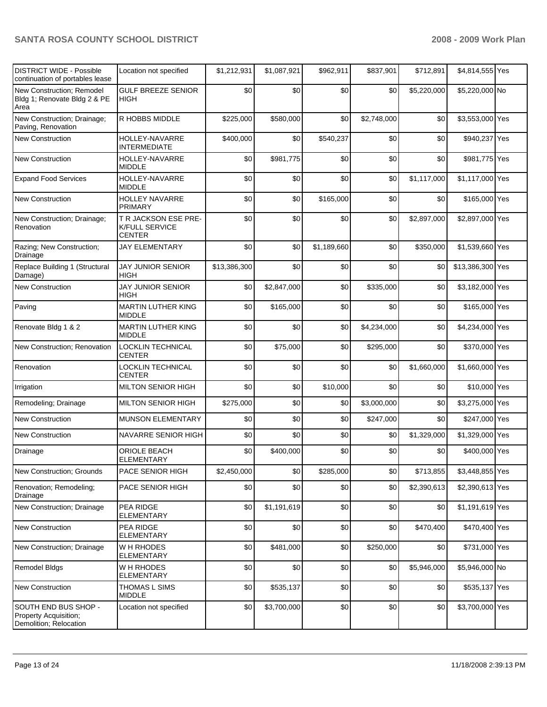| <b>DISTRICT WIDE - Possible</b><br>continuation of portables lease      | Location not specified                                         | \$1,212,931  | \$1,087,921 | \$962,911   | \$837,901   | \$712,891   | \$4,814,555 Yes  |  |
|-------------------------------------------------------------------------|----------------------------------------------------------------|--------------|-------------|-------------|-------------|-------------|------------------|--|
| New Construction; Remodel<br>Bldg 1; Renovate Bldg 2 & PE<br>Area       | <b>GULF BREEZE SENIOR</b><br><b>HIGH</b>                       | \$0          | \$0         | \$0         | \$0         | \$5,220,000 | \$5,220,000 No   |  |
| New Construction; Drainage;<br>Paving, Renovation                       | R HOBBS MIDDLE                                                 | \$225,000    | \$580,000   | \$0         | \$2,748,000 | \$0         | \$3,553,000 Yes  |  |
| <b>New Construction</b>                                                 | HOLLEY-NAVARRE<br>INTERMEDIATE                                 | \$400,000    | \$0         | \$540,237   | \$0         | \$0         | \$940,237 Yes    |  |
| <b>New Construction</b>                                                 | HOLLEY-NAVARRE<br><b>MIDDLE</b>                                | \$0          | \$981,775   | \$0         | \$0         | \$0         | \$981,775 Yes    |  |
| <b>Expand Food Services</b>                                             | HOLLEY-NAVARRE<br>MIDDLE                                       | \$0          | \$0         | \$0         | \$0         | \$1,117,000 | \$1,117,000 Yes  |  |
| <b>New Construction</b>                                                 | <b>HOLLEY NAVARRE</b><br><b>PRIMARY</b>                        | \$0          | \$0         | \$165,000   | \$0         | \$0         | \$165,000 Yes    |  |
| New Construction; Drainage;<br>Renovation                               | T R JACKSON ESE PRE-<br><b>K/FULL SERVICE</b><br><b>CENTER</b> | \$0          | \$0         | \$0         | \$0         | \$2,897,000 | \$2,897,000 Yes  |  |
| Razing; New Construction;<br>Drainage                                   | <b>JAY ELEMENTARY</b>                                          | \$0          | \$0         | \$1,189,660 | \$0         | \$350,000   | \$1,539,660 Yes  |  |
| Replace Building 1 (Structural<br>Damage)                               | <b>JAY JUNIOR SENIOR</b><br><b>HIGH</b>                        | \$13,386,300 | \$0         | \$0         | \$0         | \$0         | \$13,386,300 Yes |  |
| <b>New Construction</b>                                                 | <b>JAY JUNIOR SENIOR</b><br><b>HIGH</b>                        | \$0          | \$2,847,000 | \$0         | \$335,000   | \$0         | \$3,182,000 Yes  |  |
| Paving                                                                  | MARTIN LUTHER KING<br>MIDDLE                                   | \$0          | \$165,000   | \$0         | \$0         | \$0         | \$165,000 Yes    |  |
| Renovate Bldg 1 & 2                                                     | <b>MARTIN LUTHER KING</b><br><b>MIDDLE</b>                     | \$0          | \$0         | \$0         | \$4,234,000 | \$0         | \$4,234,000 Yes  |  |
| New Construction; Renovation                                            | LOCKLIN TECHNICAL<br><b>CENTER</b>                             | \$0          | \$75,000    | \$0         | \$295,000   | \$0         | \$370,000 Yes    |  |
| Renovation                                                              | LOCKLIN TECHNICAL<br><b>CENTER</b>                             | \$0          | \$0         | \$0         | \$0         | \$1,660,000 | \$1,660,000 Yes  |  |
| Irrigation                                                              | <b>MILTON SENIOR HIGH</b>                                      | \$0          | \$0         | \$10,000    | \$0         | \$0         | \$10,000 Yes     |  |
| Remodeling; Drainage                                                    | MILTON SENIOR HIGH                                             | \$275,000    | \$0         | \$0         | \$3,000,000 | \$0         | \$3,275,000 Yes  |  |
| <b>New Construction</b>                                                 | <b>MUNSON ELEMENTARY</b>                                       | \$0          | \$0         | \$0         | \$247,000   | \$0         | \$247,000 Yes    |  |
| <b>New Construction</b>                                                 | <b>NAVARRE SENIOR HIGH</b>                                     | \$0          | \$0         | \$0         | \$0         | \$1,329,000 | \$1,329,000 Yes  |  |
| Drainage                                                                | ORIOLE BEACH<br><b>ELEMENTARY</b>                              | \$0          | \$400,000   | \$0         | \$0         | \$0         | \$400,000 Yes    |  |
| New Construction; Grounds                                               | PACE SENIOR HIGH                                               | \$2,450,000  | \$0         | \$285,000   | \$0         | \$713,855   | \$3,448,855 Yes  |  |
| Renovation; Remodeling;<br>Drainage                                     | PACE SENIOR HIGH                                               | \$0          | \$0         | \$0         | \$0         | \$2,390,613 | \$2,390,613 Yes  |  |
| New Construction; Drainage                                              | PEA RIDGE<br><b>ELEMENTARY</b>                                 | \$0          | \$1,191,619 | \$0         | \$0         | \$0         | \$1,191,619 Yes  |  |
| New Construction                                                        | PEA RIDGE<br><b>ELEMENTARY</b>                                 | \$0          | \$0         | \$0         | \$0         | \$470,400   | \$470,400 Yes    |  |
| New Construction; Drainage                                              | W H RHODES<br><b>ELEMENTARY</b>                                | \$0          | \$481,000   | \$0         | \$250,000   | \$0         | \$731,000 Yes    |  |
| Remodel Bldgs                                                           | W H RHODES<br><b>ELEMENTARY</b>                                | \$0          | \$0         | \$0         | \$0         | \$5,946,000 | \$5,946,000 No   |  |
| New Construction                                                        | THOMAS L SIMS<br><b>MIDDLE</b>                                 | \$0          | \$535,137   | \$0         | \$0         | \$0         | \$535,137 Yes    |  |
| SOUTH END BUS SHOP -<br>Property Acquisition;<br>Demolition; Relocation | Location not specified                                         | \$0          | \$3,700,000 | \$0         | \$0         | \$0         | \$3,700,000 Yes  |  |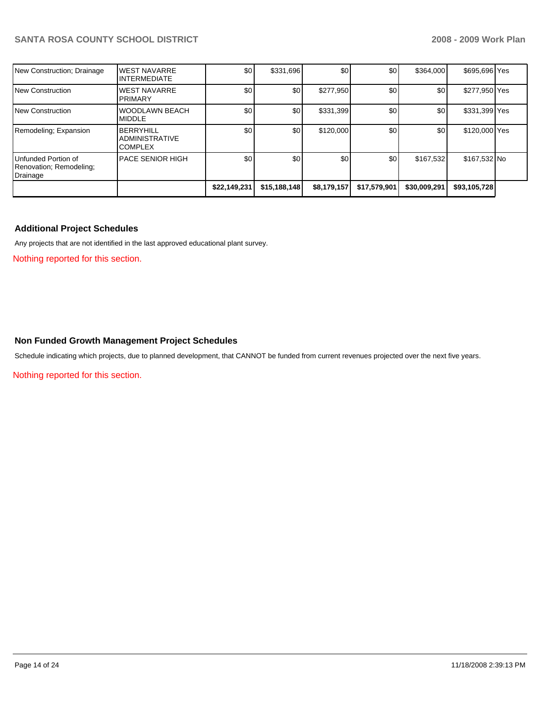| New Construction; Drainage                                 | <b>WEST NAVARRE</b><br>INTERMEDIATE                         | \$0          | \$331,696        | \$0         | \$0          | \$364,000    | \$695,696 Yes |  |
|------------------------------------------------------------|-------------------------------------------------------------|--------------|------------------|-------------|--------------|--------------|---------------|--|
| New Construction                                           | <b>WEST NAVARRE</b><br><b>PRIMARY</b>                       | \$0          | \$0              | \$277,950   | \$0          | \$0          | \$277,950 Yes |  |
| New Construction                                           | WOODLAWN BEACH<br><b>MIDDLE</b>                             | \$0          | \$0              | \$331,399   | \$0          | \$0          | \$331,399 Yes |  |
| Remodeling; Expansion                                      | <b>BERRYHILL</b><br><b>ADMINISTRATIVE</b><br><b>COMPLEX</b> | \$0          | \$0 <sub>1</sub> | \$120,000   | \$0          | \$0          | \$120,000 Yes |  |
| Unfunded Portion of<br>Renovation; Remodeling;<br>Drainage | <b>PACE SENIOR HIGH</b>                                     | \$0          | \$0              | \$0         | \$0          | \$167,532    | \$167,532 No  |  |
|                                                            |                                                             | \$22,149,231 | \$15,188,148     | \$8,179,157 | \$17,579,901 | \$30,009,291 | \$93,105,728  |  |

### **Additional Project Schedules**

Any projects that are not identified in the last approved educational plant survey.

Nothing reported for this section.

### **Non Funded Growth Management Project Schedules**

Schedule indicating which projects, due to planned development, that CANNOT be funded from current revenues projected over the next five years.

Nothing reported for this section.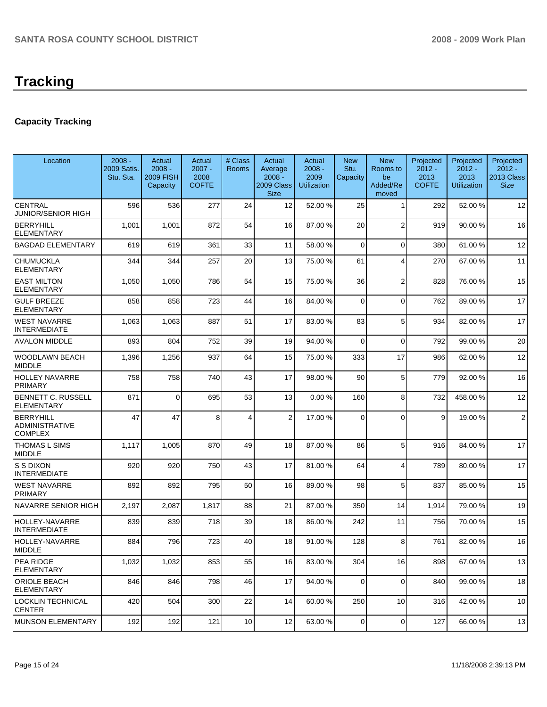# **Tracking**

# **Capacity Tracking**

| Location                                             | $2008 -$<br>2009 Satis.<br>Stu. Sta. | Actual<br>$2008 -$<br><b>2009 FISH</b><br>Capacity | Actual<br>$2007 -$<br>2008<br><b>COFTE</b> | # Class<br>Rooms | Actual<br>Average<br>$2008 -$<br>2009 Class<br><b>Size</b> | Actual<br>$2008 -$<br>2009<br><b>Utilization</b> | <b>New</b><br>Stu.<br>Capacity | <b>New</b><br>Rooms to<br>be<br>Added/Re<br>moved | Projected<br>$2012 -$<br>2013<br><b>COFTE</b> | Projected<br>$2012 -$<br>2013<br><b>Utilization</b> | Projected<br>$2012 -$<br>2013 Class<br><b>Size</b> |
|------------------------------------------------------|--------------------------------------|----------------------------------------------------|--------------------------------------------|------------------|------------------------------------------------------------|--------------------------------------------------|--------------------------------|---------------------------------------------------|-----------------------------------------------|-----------------------------------------------------|----------------------------------------------------|
| <b>CENTRAL</b><br>JUNIOR/SENIOR HIGH                 | 596                                  | 536                                                | 277                                        | 24               | 12                                                         | 52.00 %                                          | 25                             | 1                                                 | 292                                           | 52.00 %                                             | 12                                                 |
| <b>BERRYHILL</b><br><b>ELEMENTARY</b>                | 1,001                                | 1,001                                              | 872                                        | 54               | 16                                                         | 87.00 %                                          | 20                             | $\overline{2}$                                    | 919                                           | 90.00 %                                             | 16                                                 |
| <b>BAGDAD ELEMENTARY</b>                             | 619                                  | 619                                                | 361                                        | 33               | 11                                                         | 58.00 %                                          | $\Omega$                       | 0                                                 | 380                                           | 61.00%                                              | 12                                                 |
| <b>CHUMUCKLA</b><br><b>ELEMENTARY</b>                | 344                                  | 344                                                | 257                                        | 20               | 13                                                         | 75.00 %                                          | 61                             | $\overline{4}$                                    | 270                                           | 67.00 %                                             | 11                                                 |
| <b>EAST MILTON</b><br><b>ELEMENTARY</b>              | 1,050                                | 1,050                                              | 786                                        | 54               | 15                                                         | 75.00 %                                          | 36                             | $\overline{2}$                                    | 828                                           | 76.00 %                                             | 15                                                 |
| <b>GULF BREEZE</b><br><b>ELEMENTARY</b>              | 858                                  | 858                                                | 723                                        | 44               | 16                                                         | 84.00 %                                          | $\Omega$                       | $\mathbf 0$                                       | 762                                           | 89.00 %                                             | 17                                                 |
| <b>WEST NAVARRE</b><br>INTERMEDIATE                  | 1,063                                | 1,063                                              | 887                                        | 51               | 17                                                         | 83.00 %                                          | 83                             | 5                                                 | 934                                           | 82.00 %                                             | 17                                                 |
| <b>AVALON MIDDLE</b>                                 | 893                                  | 804                                                | 752                                        | 39               | 19                                                         | 94.00 %                                          | $\Omega$                       | $\Omega$                                          | 792                                           | 99.00 %                                             | 20                                                 |
| WOODLAWN BEACH<br><b>MIDDLE</b>                      | 1,396                                | 1,256                                              | 937                                        | 64               | 15                                                         | 75.00 %                                          | 333                            | 17                                                | 986                                           | 62.00 %                                             | 12                                                 |
| <b>HOLLEY NAVARRE</b><br><b>PRIMARY</b>              | 758                                  | 758                                                | 740                                        | 43               | 17                                                         | 98.00 %                                          | 90                             | 5                                                 | 779                                           | 92.00 %                                             | 16                                                 |
| BENNETT C. RUSSELL<br><b>ELEMENTARY</b>              | 871                                  | $\Omega$                                           | 695                                        | 53               | 13                                                         | 0.00%                                            | 160                            | 8                                                 | 732                                           | 458.00 %                                            | 12                                                 |
| <b>BERRYHILL</b><br>ADMINISTRATIVE<br><b>COMPLEX</b> | 47                                   | 47                                                 | 8                                          | 4                | $\overline{2}$                                             | 17.00 %                                          | $\Omega$                       | $\Omega$                                          | 9                                             | 19.00 %                                             | $\overline{2}$                                     |
| THOMAS L SIMS<br><b>MIDDLE</b>                       | 1,117                                | 1,005                                              | 870                                        | 49               | 18                                                         | 87.00 %                                          | 86                             | 5                                                 | 916                                           | 84.00 %                                             | 17                                                 |
| S S DIXON<br><b>INTERMEDIATE</b>                     | 920                                  | 920                                                | 750                                        | 43               | 17                                                         | 81.00 %                                          | 64                             | 4                                                 | 789                                           | 80.00 %                                             | 17                                                 |
| <b>WEST NAVARRE</b><br>PRIMARY                       | 892                                  | 892                                                | 795                                        | 50               | 16                                                         | 89.00 %                                          | 98                             | 5                                                 | 837                                           | 85.00 %                                             | 15                                                 |
| NAVARRE SENIOR HIGH                                  | 2,197                                | 2,087                                              | 1,817                                      | 88               | 21                                                         | 87.00 %                                          | 350                            | 14                                                | 1,914                                         | 79.00 %                                             | 19                                                 |
| HOLLEY-NAVARRE<br><b>INTERMEDIATE</b>                | 839                                  | 839                                                | 718                                        | 39               | 18                                                         | 86.00 %                                          | 242                            | 11                                                | 756                                           | 70.00 %                                             | 15                                                 |
| <b>HOLLEY-NAVARRE</b><br><b>MIDDLE</b>               | 884                                  | 796                                                | 723                                        | 40               | 18                                                         | 91.00 %                                          | 128                            | 8                                                 | 761                                           | 82.00 %                                             | 16                                                 |
| <b>PEA RIDGE</b><br><b>ELEMENTARY</b>                | 1,032                                | 1,032                                              | 853                                        | 55               | 16                                                         | 83.00 %                                          | 304                            | 16                                                | 898                                           | 67.00 %                                             | 13                                                 |
| ORIOLE BEACH<br><b>ELEMENTARY</b>                    | 846                                  | 846                                                | 798                                        | 46               | 17                                                         | 94.00 %                                          | 0                              | $\mathbf 0$                                       | 840                                           | 99.00 %                                             | 18                                                 |
| LOCKLIN TECHNICAL<br><b>CENTER</b>                   | 420                                  | 504                                                | 300                                        | 22               | 14                                                         | 60.00 %                                          | 250                            | 10                                                | 316                                           | 42.00 %                                             | 10                                                 |
| <b>MUNSON ELEMENTARY</b>                             | 192                                  | 192                                                | 121                                        | 10               | 12 <sub>l</sub>                                            | 63.00 %                                          | $\mathbf 0$                    | 0                                                 | 127                                           | 66.00 %                                             | 13                                                 |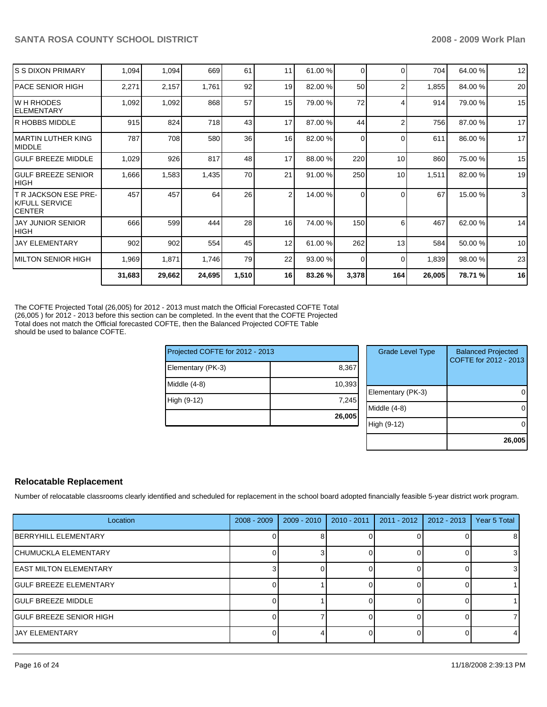|                                                                  | 31,683 | 29,662 | 24,695 | 1,510 | 16             | 83.26 % | 3,378    | 164      | 26,005 | 78.71 % | 16 |
|------------------------------------------------------------------|--------|--------|--------|-------|----------------|---------|----------|----------|--------|---------|----|
| IMILTON SENIOR HIGH                                              | 1,969  | 1,871  | 1,746  | 79    | 22             | 93.00 % | $\Omega$ | $\Omega$ | 1,839  | 98.00 % | 23 |
| <b>JAY ELEMENTARY</b>                                            | 902    | 902    | 554    | 45    | 12             | 61.00 % | 262      | 13       | 584    | 50.00 % | 10 |
| <b>JAY JUNIOR SENIOR</b><br> HIGH                                | 666    | 599    | 444    | 28    | 16             | 74.00 % | 150      | 6        | 467    | 62.00 % | 14 |
| T R JACKSON ESE PRE-<br><b>IK/FULL SERVICE</b><br><b>ICENTER</b> | 457    | 457    | 64     | 26    | $\overline{2}$ | 14.00 % | 0        | $\Omega$ | 67     | 15.00 % | 3  |
| <b>IGULF BREEZE SENIOR</b><br>Ініgн                              | 1,666  | 1,583  | 1,435  | 70    | 21             | 91.00 % | 250      | 10       | 1,511  | 82.00 % | 19 |
| <b>IGULF BREEZE MIDDLE</b>                                       | 1,029  | 926    | 817    | 48    | 17             | 88.00 % | 220      | 10       | 860    | 75.00 % | 15 |
| IMARTIN LUTHER KING<br><b>IMIDDLE</b>                            | 787    | 708    | 580    | 36    | 16             | 82.00 % | 0        | $\Omega$ | 611    | 86.00 % | 17 |
| IR HOBBS MIDDLE                                                  | 915    | 824    | 718    | 43    | 17             | 87.00 % | 44       |          | 756    | 87.00 % | 17 |
| IW H RHODES<br>IELEMENTARY                                       | 1,092  | 1,092  | 868    | 57    | 15             | 79.00 % | 72       |          | 914    | 79.00 % | 15 |
| IPACE SENIOR HIGH                                                | 2,271  | 2,157  | 1,761  | 92    | 19             | 82.00 % | 50       |          | 1,855  | 84.00 % | 20 |
| IS S DIXON PRIMARY                                               | 1,094  | 1,094  | 669    | 61    | 11             | 61.00 % | 0        | ∩        | 704    | 64.00 % | 12 |

The COFTE Projected Total (26,005) for 2012 - 2013 must match the Official Forecasted COFTE Total (26,005 ) for 2012 - 2013 before this section can be completed. In the event that the COFTE Projected Total does not match the Official forecasted COFTE, then the Balanced Projected COFTE Table should be used to balance COFTE.

| Projected COFTE for 2012 - 2013 |        |
|---------------------------------|--------|
| Elementary (PK-3)               | 8,367  |
| Middle (4-8)                    | 10,393 |
| High (9-12)                     | 7,245  |
|                                 | 26,005 |

| <b>Grade Level Type</b> | <b>Balanced Projected</b><br>COFTE for 2012 - 2013 |
|-------------------------|----------------------------------------------------|
| Elementary (PK-3)       |                                                    |
| Middle (4-8)            |                                                    |
| High (9-12)             |                                                    |
|                         | 26,005                                             |

# **Relocatable Replacement**

Number of relocatable classrooms clearly identified and scheduled for replacement in the school board adopted financially feasible 5-year district work program.

| Location                       | $2008 - 2009$ | $2009 - 2010$ | $2010 - 2011$ | $2011 - 2012$ | $2012 - 2013$ | Year 5 Total |
|--------------------------------|---------------|---------------|---------------|---------------|---------------|--------------|
| <b>IBERRYHILL ELEMENTARY</b>   |               |               |               |               |               | 81           |
| <b>ICHUMUCKLA ELEMENTARY</b>   |               |               |               |               |               |              |
| <b>IEAST MILTON ELEMENTARY</b> |               |               |               |               |               | 31           |
| <b>IGULF BREEZE ELEMENTARY</b> |               |               |               |               |               |              |
| IGULF BREEZE MIDDLE            |               |               |               |               |               |              |
| IGULF BREEZE SENIOR HIGH       |               |               |               |               |               |              |
| <b>IJAY ELEMENTARY</b>         |               |               |               |               |               |              |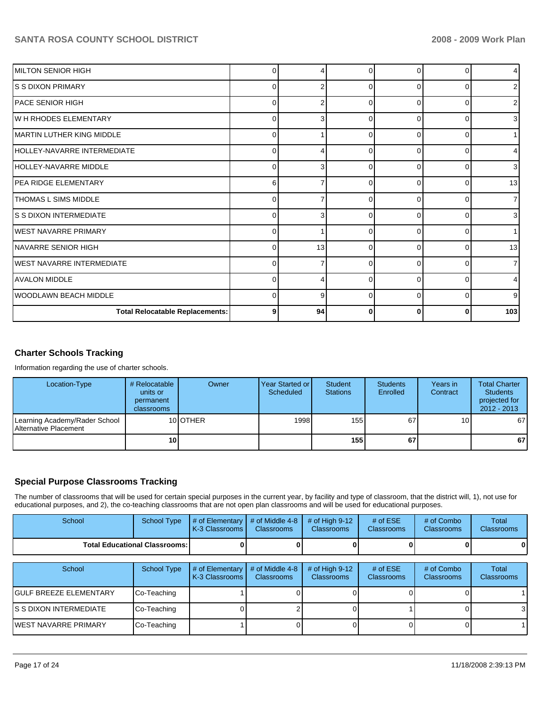| MILTON SENIOR HIGH                     | 0           | 4  | ∩        | $\Omega$ |          |     |
|----------------------------------------|-------------|----|----------|----------|----------|-----|
| S S DIXON PRIMARY                      | $\Omega$    | 2  | $\Omega$ | $\Omega$ | 0        |     |
| IPACE SENIOR HIGH                      | 0           | 2  | $\Omega$ | $\Omega$ | ∩        |     |
| W H RHODES ELEMENTARY                  | $\Omega$    | 3  | $\Omega$ | $\Omega$ | $\Omega$ |     |
| MARTIN LUTHER KING MIDDLE              | $\Omega$    |    | $\Omega$ | $\Omega$ | $\Omega$ |     |
| HOLLEY-NAVARRE INTERMEDIATE            | $\Omega$    |    | 0        | C        | C        |     |
| HOLLEY-NAVARRE MIDDLE                  | $\mathbf 0$ | 3  | $\Omega$ | $\Omega$ | $\Omega$ |     |
| <b>PEA RIDGE ELEMENTARY</b>            | 6           |    | $\Omega$ | $\Omega$ | $\Omega$ | 13  |
| <b>THOMAS L SIMS MIDDLE</b>            | $\Omega$    |    | $\Omega$ | $\Omega$ | C        |     |
| IS S DIXON INTERMEDIATE                | 0           | 3  | $\Omega$ | $\Omega$ | $\Omega$ |     |
| <b>WEST NAVARRE PRIMARY</b>            | 0           |    | $\Omega$ | $\Omega$ | $\Omega$ |     |
| NAVARRE SENIOR HIGH                    | $\Omega$    | 13 | $\Omega$ | $\Omega$ | C        | 13  |
| WEST NAVARRE INTERMEDIATE              | $\Omega$    |    | $\Omega$ | $\Omega$ | $\Omega$ |     |
| <b>AVALON MIDDLE</b>                   | $\Omega$    | 4  | $\Omega$ | $\Omega$ | $\Omega$ |     |
| WOODLAWN BEACH MIDDLE                  | $\Omega$    | 9  | $\Omega$ | $\Omega$ | ∩        |     |
| <b>Total Relocatable Replacements:</b> | 9           | 94 | 0        | 0        | ŋ        | 103 |

# **Charter Schools Tracking**

Information regarding the use of charter schools.

| Location-Type                                                  | # Relocatable<br>units or<br>permanent<br>classrooms | Owner    | Year Started or I<br>Scheduled | Student<br><b>Stations</b> | <b>Students</b><br>Enrolled | Years in<br>Contract | <b>Total Charter</b><br><b>Students</b><br>projected for<br>$2012 - 2013$ |
|----------------------------------------------------------------|------------------------------------------------------|----------|--------------------------------|----------------------------|-----------------------------|----------------------|---------------------------------------------------------------------------|
| Learning Academy/Rader School<br><b>IAlternative Placement</b> |                                                      | 10 OTHER | 1998                           | 155                        | 67                          | 10 <sup>1</sup>      | 67                                                                        |
|                                                                | 10                                                   |          |                                | 155                        | 67                          |                      | 67                                                                        |

# **Special Purpose Classrooms Tracking**

The number of classrooms that will be used for certain special purposes in the current year, by facility and type of classroom, that the district will, 1), not use for educational purposes, and 2), the co-teaching classrooms that are not open plan classrooms and will be used for educational purposes.

| School                        | <b>School Type</b>                   | # of Elementary<br>K-3 Classrooms | # of Middle 4-8<br>Classrooms | # of High $9-12$<br><b>Classrooms</b> | # of $ESE$<br><b>Classrooms</b> | # of Combo<br><b>Classrooms</b> | Total<br><b>Classrooms</b> |
|-------------------------------|--------------------------------------|-----------------------------------|-------------------------------|---------------------------------------|---------------------------------|---------------------------------|----------------------------|
|                               | <b>Total Educational Classrooms:</b> |                                   |                               |                                       |                                 |                                 |                            |
|                               |                                      |                                   |                               |                                       |                                 |                                 |                            |
| School                        | School Type                          | # of Elementary<br>K-3 Classrooms | # of Middle 4-8<br>Classrooms | # of High $9-12$<br><b>Classrooms</b> | # of $ESE$<br>Classrooms        | # of Combo<br>Classrooms        | Total<br><b>Classrooms</b> |
| <b>GULF BREEZE ELEMENTARY</b> | Co-Teaching                          |                                   |                               |                                       |                                 |                                 |                            |
| S S DIXON INTERMEDIATE        | Co-Teaching                          |                                   |                               |                                       |                                 |                                 |                            |
| <b>WEST NAVARRE PRIMARY</b>   | Co-Teaching                          |                                   |                               |                                       |                                 |                                 |                            |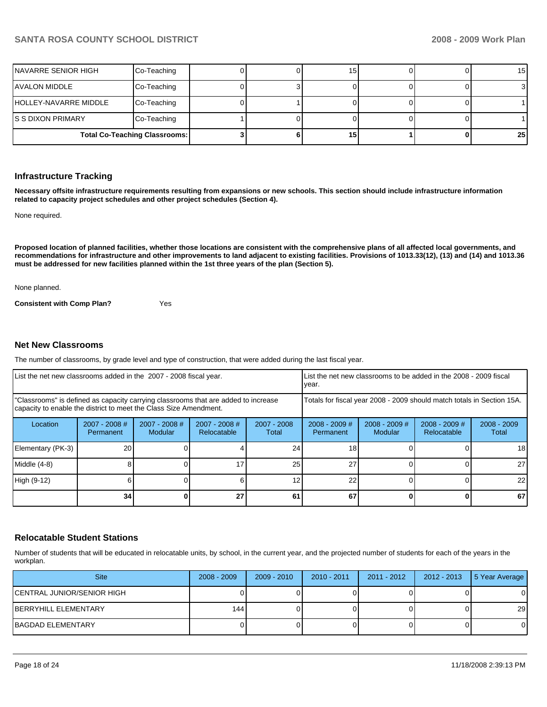| NAVARRE SENIOR HIGH   | Co-Teaching                          |  | 15              |  | 15 <sub>l</sub> |
|-----------------------|--------------------------------------|--|-----------------|--|-----------------|
| <b>AVALON MIDDLE</b>  | Co-Teaching                          |  |                 |  | 31              |
| HOLLEY-NAVARRE MIDDLE | Co-Teaching                          |  |                 |  |                 |
| IS S DIXON PRIMARY    | Co-Teaching                          |  |                 |  |                 |
|                       | <b>Total Co-Teaching Classrooms:</b> |  | 15 <sub>l</sub> |  | 25 <sub>1</sub> |

### **Infrastructure Tracking**

**Necessary offsite infrastructure requirements resulting from expansions or new schools. This section should include infrastructure information related to capacity project schedules and other project schedules (Section 4).** 

None required.

**Proposed location of planned facilities, whether those locations are consistent with the comprehensive plans of all affected local governments, and recommendations for infrastructure and other improvements to land adjacent to existing facilities. Provisions of 1013.33(12), (13) and (14) and 1013.36 must be addressed for new facilities planned within the 1st three years of the plan (Section 5).** 

None planned.

**Consistent with Comp Plan?** Yes

### **Net New Classrooms**

The number of classrooms, by grade level and type of construction, that were added during the last fiscal year.

| List the net new classrooms added in the 2007 - 2008 fiscal year.                                                                                       | List the net new classrooms to be added in the 2008 - 2009 fiscal<br>year. |                                 |                                |                      |                                                                        |                            |                                |                        |
|---------------------------------------------------------------------------------------------------------------------------------------------------------|----------------------------------------------------------------------------|---------------------------------|--------------------------------|----------------------|------------------------------------------------------------------------|----------------------------|--------------------------------|------------------------|
| "Classrooms" is defined as capacity carrying classrooms that are added to increase<br>capacity to enable the district to meet the Class Size Amendment. |                                                                            |                                 |                                |                      | Totals for fiscal year 2008 - 2009 should match totals in Section 15A. |                            |                                |                        |
| Location                                                                                                                                                | $2007 - 2008$ #<br>Permanent                                               | 2007 - 2008 #<br><b>Modular</b> | $2007 - 2008$ #<br>Relocatable | 2007 - 2008<br>Total | $2008 - 2009$ #<br>Permanent                                           | $2008 - 2009$ #<br>Modular | $2008 - 2009$ #<br>Relocatable | $2008 - 2009$<br>Total |
| Elementary (PK-3)                                                                                                                                       | 20                                                                         |                                 |                                | 24                   | 18                                                                     |                            |                                | 18                     |
| Middle (4-8)                                                                                                                                            |                                                                            |                                 |                                | 25                   | 27                                                                     |                            |                                | 27                     |
| High (9-12)                                                                                                                                             |                                                                            |                                 |                                | 12                   | 22                                                                     |                            |                                | 22                     |
|                                                                                                                                                         | 34                                                                         |                                 | 27                             | 61                   | 67                                                                     |                            | 0                              | 67                     |

### **Relocatable Student Stations**

Number of students that will be educated in relocatable units, by school, in the current year, and the projected number of students for each of the years in the workplan.

| <b>Site</b>                | $2008 - 2009$ | $2009 - 2010$ | $2010 - 2011$ | 2011 - 2012 | 2012 - 2013 | 5 Year Average |
|----------------------------|---------------|---------------|---------------|-------------|-------------|----------------|
| CENTRAL JUNIOR/SENIOR HIGH |               |               |               |             |             | 0              |
| IBERRYHILL ELEMENTARY      | 1441          |               |               |             |             | 29             |
| IBAGDAD ELEMENTARY         |               |               |               |             |             | 0              |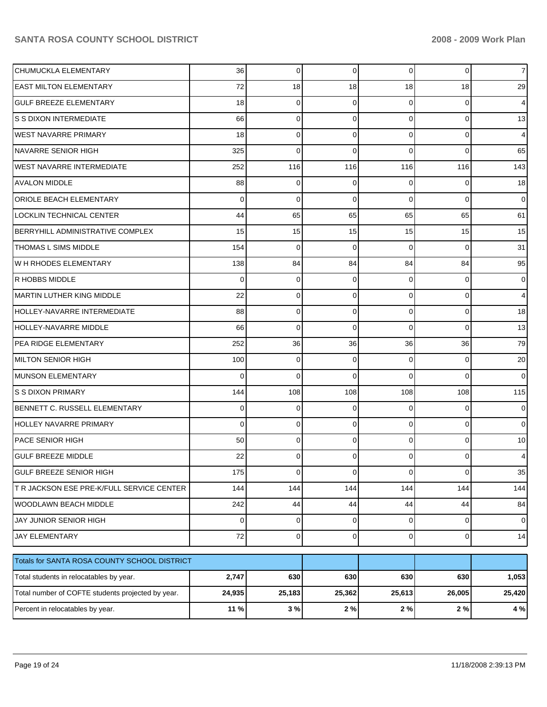| CHUMUCKLA ELEMENTARY                              | 36     | 0           | 0           | 0              | 0           | 7 <sup>1</sup>  |
|---------------------------------------------------|--------|-------------|-------------|----------------|-------------|-----------------|
| <b>EAST MILTON ELEMENTARY</b>                     | 72     | 18          | 18          | 18             | 18          | 29              |
| <b>GULF BREEZE ELEMENTARY</b>                     | 18     | 0           | $\Omega$    | 0              | 0           | $\overline{4}$  |
| S S DIXON INTERMEDIATE                            | 66     | 0           | 0           | 0              | 0           | 13              |
| <b>WEST NAVARRE PRIMARY</b>                       | 18     | 0           | 0           | 0              | 0           | $\overline{4}$  |
| <b>NAVARRE SENIOR HIGH</b>                        | 325    | 0           | 0           | 0              | $\Omega$    | 65              |
| <b>WEST NAVARRE INTERMEDIATE</b>                  | 252    | 116         | 116         | 116            | 116         | 143             |
| <b>AVALON MIDDLE</b>                              | 88     | 0           | 0           | 0              | 0           | 18 <sup>1</sup> |
| <b>ORIOLE BEACH ELEMENTARY</b>                    | 0      | 0           | 0           | $\Omega$       | $\Omega$    | $\overline{0}$  |
| LOCKLIN TECHNICAL CENTER                          | 44     | 65          | 65          | 65             | 65          | 61              |
| <b>BERRYHILL ADMINISTRATIVE COMPLEX</b>           | 15     | 15          | 15          | 15             | 15          | 15              |
| THOMAS L SIMS MIDDLE                              | 154    | 0           | $\mathbf 0$ | $\Omega$       | $\Omega$    | 31              |
| <b>WH RHODES ELEMENTARY</b>                       | 138    | 84          | 84          | 84             | 84          | 95              |
| R HOBBS MIDDLE                                    | 0      | 0           | 0           | 0              | 0           | $\overline{0}$  |
| MARTIN LUTHER KING MIDDLE                         | 22     | 0           | 0           | 0              | 0           | $\overline{4}$  |
| HOLLEY-NAVARRE INTERMEDIATE                       | 88     | 0           | 0           | 0              | 0           | 18              |
| <b>HOLLEY-NAVARRE MIDDLE</b>                      | 66     | 0           | $\Omega$    | 0              | 0           | 13              |
| PEA RIDGE ELEMENTARY                              | 252    | 36          | 36          | 36             | 36          | 79              |
| MILTON SENIOR HIGH                                | 100    | 0           | 0           | 0              | $\Omega$    | 20              |
| MUNSON ELEMENTARY                                 | 0      | 0           | 0           | 0              | $\Omega$    | $\overline{0}$  |
| <b>S S DIXON PRIMARY</b>                          | 144    | 108         | 108         | 108            | 108         | 115             |
| BENNETT C. RUSSELL ELEMENTARY                     | 0      | 0           | 0           | 0              | 0           | $\overline{0}$  |
| <b>HOLLEY NAVARRE PRIMARY</b>                     | 0      | 0           | 0           | 0              | $\Omega$    | $\overline{0}$  |
| PACE SENIOR HIGH                                  | 50     | 0           | 0           | 0              | 0           | 10 <sup>1</sup> |
| <b>GULF BREEZE MIDDLE</b>                         | 22     | 0           | 0           | 0              | 0           | $\overline{4}$  |
| <b>GULF BREEZE SENIOR HIGH</b>                    | 175    | 0           | $\mathbf 0$ | 0              | $\mathbf 0$ | 35              |
| T R JACKSON ESE PRE-K/FULL SERVICE CENTER         | 144    | 144         | 144         | 144            | 144         | 144             |
| WOODLAWN BEACH MIDDLE                             | 242    | 44          | 44          | 44             | 44          | 84              |
| JAY JUNIOR SENIOR HIGH                            | 0      | $\mathbf 0$ | 0           | 0              | 0           | $\overline{0}$  |
| <b>JAY ELEMENTARY</b>                             | 72     | $\mathbf 0$ | 0           | $\overline{0}$ | $\mathbf 0$ | 14              |
| Totals for SANTA ROSA COUNTY SCHOOL DISTRICT      |        |             |             |                |             |                 |
| Total students in relocatables by year.           | 2,747  | 630         | 630         | 630            | 630         | 1,053           |
| Total number of COFTE students projected by year. | 24,935 | 25,183      | 25,362      | 25,613         | 26,005      | 25,420          |
| Percent in relocatables by year.                  | 11 %   | 3%          | $2\%$       | $2\%$          | $2\%$       | 4 %             |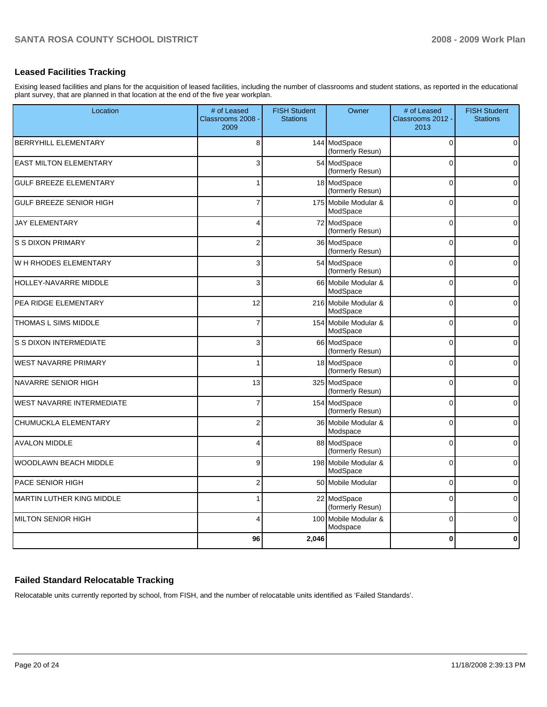# **Leased Facilities Tracking**

Exising leased facilities and plans for the acquisition of leased facilities, including the number of classrooms and student stations, as reported in the educational plant survey, that are planned in that location at the end of the five year workplan.

| Location                         | # of Leased<br>Classrooms 2008<br>2009 | <b>FISH Student</b><br><b>Stations</b> | Owner                            | # of Leased<br>Classrooms 2012 -<br>2013 | <b>FISH Student</b><br><b>Stations</b> |
|----------------------------------|----------------------------------------|----------------------------------------|----------------------------------|------------------------------------------|----------------------------------------|
| <b>BERRYHILL ELEMENTARY</b>      | 8                                      |                                        | 144 ModSpace<br>(formerly Resun) | $\Omega$                                 | $\overline{0}$                         |
| <b>EAST MILTON ELEMENTARY</b>    | 3                                      |                                        | 54 ModSpace<br>(formerly Resun)  | $\Omega$                                 | 0                                      |
| <b>GULF BREEZE ELEMENTARY</b>    | 1                                      |                                        | 18 ModSpace<br>(formerly Resun)  | $\Omega$                                 | $\overline{0}$                         |
| <b>GULF BREEZE SENIOR HIGH</b>   | $\overline{7}$                         |                                        | 175 Mobile Modular &<br>ModSpace | $\Omega$                                 | $\overline{0}$                         |
| <b>JAY ELEMENTARY</b>            | 4                                      |                                        | 72 ModSpace<br>(formerly Resun)  | $\overline{0}$                           | $\mathbf 0$                            |
| <b>S S DIXON PRIMARY</b>         | $\overline{2}$                         |                                        | 36 ModSpace<br>(formerly Resun)  | $\Omega$                                 | $\overline{0}$                         |
| W H RHODES ELEMENTARY            | 3                                      |                                        | 54 ModSpace<br>(formerly Resun)  | $\Omega$                                 | $\overline{0}$                         |
| HOLLEY-NAVARRE MIDDLE            | 3                                      |                                        | 66 Mobile Modular &<br>ModSpace  | $\Omega$                                 | $\overline{0}$                         |
| PEA RIDGE ELEMENTARY             | 12                                     |                                        | 216 Mobile Modular &<br>ModSpace | $\Omega$                                 | $\overline{0}$                         |
| THOMAS L SIMS MIDDLE             | $\overline{7}$                         |                                        | 154 Mobile Modular &<br>ModSpace | $\Omega$                                 | $\overline{0}$                         |
| <b>S S DIXON INTERMEDIATE</b>    | 3                                      |                                        | 66 ModSpace<br>(formerly Resun)  | $\Omega$                                 | $\mathbf 0$                            |
| <b>WEST NAVARRE PRIMARY</b>      | 1                                      |                                        | 18 ModSpace<br>(formerly Resun)  | $\Omega$                                 | $\pmb{0}$                              |
| NAVARRE SENIOR HIGH              | 13                                     |                                        | 325 ModSpace<br>(formerly Resun) | $\Omega$                                 | $\overline{0}$                         |
| <b>WEST NAVARRE INTERMEDIATE</b> | $\overline{7}$                         |                                        | 154 ModSpace<br>(formerly Resun) | $\overline{0}$                           | $\mathbf 0$                            |
| CHUMUCKLA ELEMENTARY             | $\overline{2}$                         |                                        | 36 Mobile Modular &<br>Modspace  | $\Omega$                                 | $\overline{0}$                         |
| <b>AVALON MIDDLE</b>             | 4                                      |                                        | 88 ModSpace<br>(formerly Resun)  | $\Omega$                                 | $\mathbf 0$                            |
| WOODLAWN BEACH MIDDLE            | 9                                      |                                        | 198 Mobile Modular &<br>ModSpace | $\overline{0}$                           | $\overline{0}$                         |
| PACE SENIOR HIGH                 | $\overline{c}$                         |                                        | 50 Mobile Modular                | $\Omega$                                 | $\pmb{0}$                              |
| <b>MARTIN LUTHER KING MIDDLE</b> | 1                                      |                                        | 22 ModSpace<br>(formerly Resun)  | $\Omega$                                 | $\overline{0}$                         |
| <b>MILTON SENIOR HIGH</b>        | 4                                      |                                        | 100 Mobile Modular &<br>Modspace | $\overline{0}$                           | $\pmb{0}$                              |
|                                  | 96                                     | 2,046                                  |                                  | $\bf{0}$                                 | $\mathbf{0}$                           |

### **Failed Standard Relocatable Tracking**

Relocatable units currently reported by school, from FISH, and the number of relocatable units identified as 'Failed Standards'.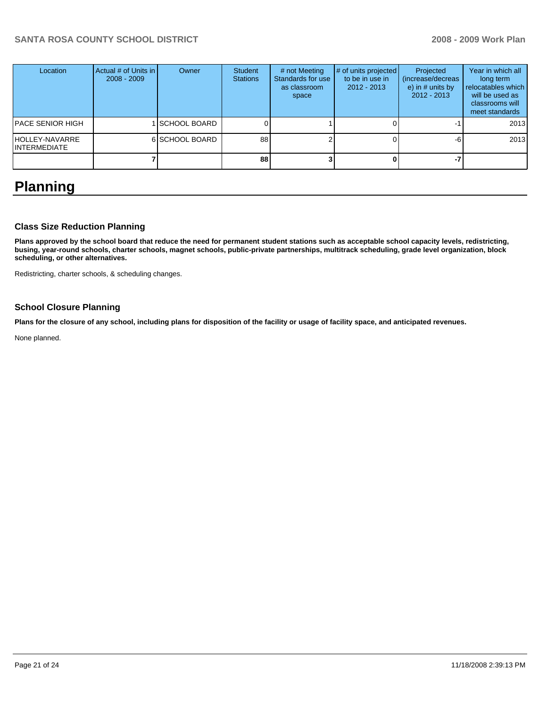| Location                              | Actual # of Units in I<br>$2008 - 2009$ | Owner               | <b>Student</b><br><b>Stations</b> | # not Meeting<br>Standards for use<br>as classroom<br>space | # of units projected<br>to be in use in<br>$2012 - 2013$ | Projected<br>(increase/decreas)<br>e) in $#$ units by<br>$2012 - 2013$ | Year in which all<br>long term<br>relocatables which<br>will be used as<br>classrooms will<br>meet standards |
|---------------------------------------|-----------------------------------------|---------------------|-----------------------------------|-------------------------------------------------------------|----------------------------------------------------------|------------------------------------------------------------------------|--------------------------------------------------------------------------------------------------------------|
| PACE SENIOR HIGH                      |                                         | <b>SCHOOL BOARD</b> |                                   |                                                             |                                                          |                                                                        | 2013                                                                                                         |
| HOLLEY-NAVARRE<br><b>INTERMEDIATE</b> |                                         | 6 SCHOOL BOARD      | 88                                |                                                             |                                                          | -h                                                                     | 2013                                                                                                         |
|                                       |                                         |                     | 88                                |                                                             |                                                          |                                                                        |                                                                                                              |

# **Planning**

### **Class Size Reduction Planning**

**Plans approved by the school board that reduce the need for permanent student stations such as acceptable school capacity levels, redistricting, busing, year-round schools, charter schools, magnet schools, public-private partnerships, multitrack scheduling, grade level organization, block scheduling, or other alternatives.** 

Redistricting, charter schools, & scheduling changes.

### **School Closure Planning**

**Plans for the closure of any school, including plans for disposition of the facility or usage of facility space, and anticipated revenues.** 

None planned.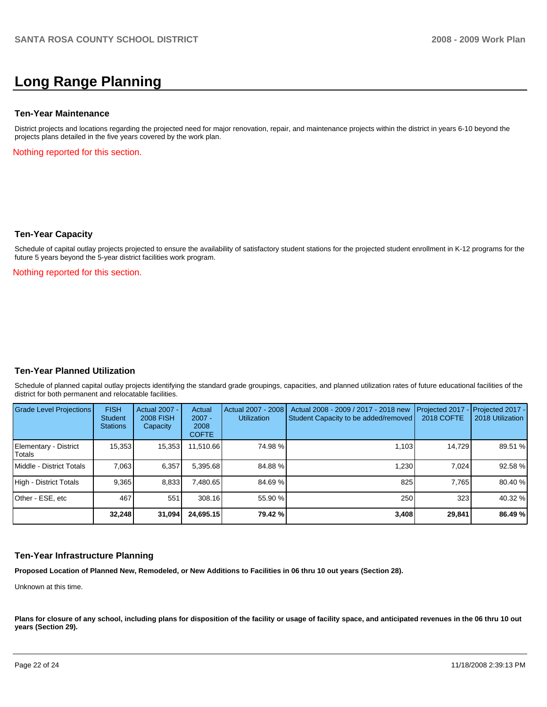# **Long Range Planning**

#### **Ten-Year Maintenance**

District projects and locations regarding the projected need for major renovation, repair, and maintenance projects within the district in years 6-10 beyond the projects plans detailed in the five years covered by the work plan.

Nothing reported for this section.

#### **Ten-Year Capacity**

Schedule of capital outlay projects projected to ensure the availability of satisfactory student stations for the projected student enrollment in K-12 programs for the future 5 years beyond the 5-year district facilities work program.

Nothing reported for this section.

### **Ten-Year Planned Utilization**

Schedule of planned capital outlay projects identifying the standard grade groupings, capacities, and planned utilization rates of future educational facilities of the district for both permanent and relocatable facilities.

| Grade Level Projections         | <b>FISH</b><br><b>Student</b><br><b>Stations</b> | <b>Actual 2007 -</b><br><b>2008 FISH</b><br>Capacity | Actual<br>$2007 -$<br>2008<br><b>COFTE</b> | Actual 2007 - 2008<br><b>Utilization</b> | Actual 2008 - 2009 / 2017 - 2018 new<br>Student Capacity to be added/removed | Projected 2017<br><b>2018 COFTE</b> | Projected 2017 -<br>2018 Utilization |
|---------------------------------|--------------------------------------------------|------------------------------------------------------|--------------------------------------------|------------------------------------------|------------------------------------------------------------------------------|-------------------------------------|--------------------------------------|
| Elementary - District<br>Totals | 15,353                                           | 15,353                                               | 11,510.66                                  | 74.98 %                                  | 1,103                                                                        | 14,729                              | 89.51 %                              |
| Middle - District Totals        | 7.063                                            | 6,357                                                | 5,395.68                                   | 84.88%                                   | 1,230                                                                        | 7.024                               | 92.58 %                              |
| High - District Totals          | 9.365                                            | 8,833                                                | 7.480.65                                   | 84.69 %                                  | 825                                                                          | 7.765                               | 80.40 %                              |
| Other - ESE, etc                | 467                                              | 551                                                  | 308.16                                     | 55.90 %                                  | 250                                                                          | 323                                 | 40.32 %                              |
|                                 | 32,248                                           | 31,094                                               | 24,695.15                                  | 79.42 %                                  | 3,408                                                                        | 29,841                              | 86.49 %                              |

### **Ten-Year Infrastructure Planning**

**Proposed Location of Planned New, Remodeled, or New Additions to Facilities in 06 thru 10 out years (Section 28).** 

Unknown at this time.

Plans for closure of any school, including plans for disposition of the facility or usage of facility space, and anticipated revenues in the 06 thru 10 out **years (Section 29).**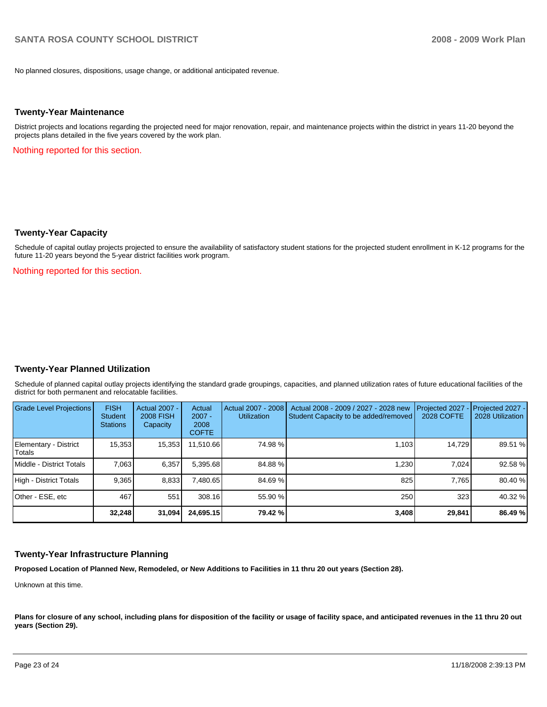No planned closures, dispositions, usage change, or additional anticipated revenue.

#### **Twenty-Year Maintenance**

District projects and locations regarding the projected need for major renovation, repair, and maintenance projects within the district in years 11-20 beyond the projects plans detailed in the five years covered by the work plan.

Nothing reported for this section.

### **Twenty-Year Capacity**

Schedule of capital outlay projects projected to ensure the availability of satisfactory student stations for the projected student enrollment in K-12 programs for the future 11-20 years beyond the 5-year district facilities work program.

Nothing reported for this section.

### **Twenty-Year Planned Utilization**

Schedule of planned capital outlay projects identifying the standard grade groupings, capacities, and planned utilization rates of future educational facilities of the district for both permanent and relocatable facilities.

| Grade Level Projections         | <b>FISH</b><br><b>Student</b><br><b>Stations</b> | Actual 2007 -<br><b>2008 FISH</b><br>Capacity | Actual<br>$2007 -$<br>2008<br><b>COFTE</b> | Actual 2007 - 2008<br><b>Utilization</b> | Actual 2008 - 2009 / 2027 - 2028 new<br>Student Capacity to be added/removed | Projected 2027<br>2028 COFTE | $-$ Projected 2027 -<br>2028 Utilization |
|---------------------------------|--------------------------------------------------|-----------------------------------------------|--------------------------------------------|------------------------------------------|------------------------------------------------------------------------------|------------------------------|------------------------------------------|
| Elementary - District<br>Totals | 15,353                                           | 15,353                                        | 11,510.66                                  | 74.98 %                                  | 1.103                                                                        | 14.729                       | 89.51 %                                  |
| Middle - District Totals        | 7.063                                            | 6.357                                         | 5.395.68                                   | 84.88%                                   | 1.230                                                                        | 7.024                        | 92.58 %                                  |
| High - District Totals          | 9.365                                            | 8.833                                         | 7.480.65                                   | 84.69 %                                  | 825                                                                          | 7.765                        | 80.40 %                                  |
| Other - ESE, etc                | 467                                              | 551                                           | 308.16                                     | 55.90 %                                  | 250                                                                          | 323                          | 40.32 %                                  |
|                                 | 32.248                                           | 31,094                                        | 24.695.15                                  | 79.42 %                                  | 3,408                                                                        | 29,841                       | 86.49 %                                  |

### **Twenty-Year Infrastructure Planning**

**Proposed Location of Planned New, Remodeled, or New Additions to Facilities in 11 thru 20 out years (Section 28).** 

Unknown at this time.

Plans for closure of any school, including plans for disposition of the facility or usage of facility space, and anticipated revenues in the 11 thru 20 out **years (Section 29).**